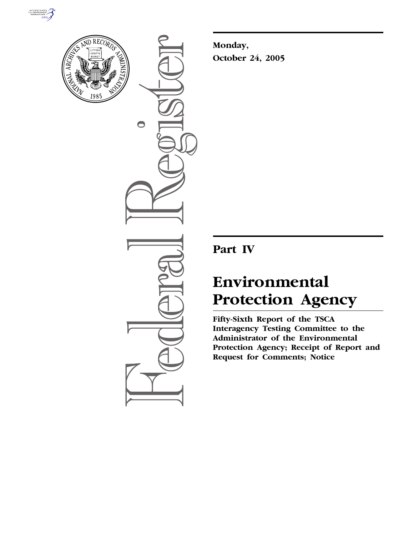



 $\bigcirc$ 

**Monday, October 24, 2005** 

**Part IV** 

# **Environmental Protection Agency**

**Fifty-Sixth Report of the TSCA Interagency Testing Committee to the Administrator of the Environmental Protection Agency; Receipt of Report and Request for Comments; Notice**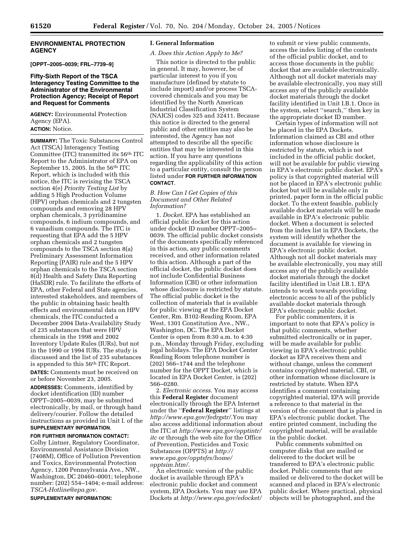# **ENVIRONMENTAL PROTECTION AGENCY**

**[OPPT–2005–0039; FRL–7739–9]** 

#### **Fifty-Sixth Report of the TSCA Interagency Testing Committee to the Administrator of the Environmental Protection Agency; Receipt of Report and Request for Comments**

**AGENCY:** Environmental Protection Agency (EPA).

**ACTION:** Notice.

**SUMMARY:** The Toxic Substances Control Act (TSCA) Interagency Testing Committee (ITC) transmitted its 56th ITC Report to the Administrator of EPA on September 15, 2005. In the 56th ITC Report, which is included with this notice, the ITC is revising the TSCA section 4(e) *Priority Testing List* by adding 5 High Production Volume (HPV) orphan chemicals and 2 tungsten compounds and removing 28 HPV orphan chemicals, 3 pyridinamine compounds, 6 indium compounds, and 6 vanadium compounds. The ITC is requesting that EPA add the 5 HPV orphan chemicals and 2 tungsten compounds to the TSCA section 8(a) Preliminary Assessment Information Reporting (PAIR) rule and the 5 HPV orphan chemicals to the TSCA section 8(d) Health and Safety Data Reporting (HaSDR) rule. To facilitate the efforts of EPA, other Federal and State agencies, interested stakeholders, and members of the public in obtaining basic health effects and environmental data on HPV chemicals, the ITC conducted a December 2004 Data-Availability Study of 235 substances that were HPV chemicals in the 1998 and 2002 Inventory Update Rules (IURs), but not in the 1990 or 1994 IURs. The study is discussed and the list of 235 substances is appended to this 56<sup>th</sup> ITC Report.

**DATES:** Comments must be received on or before November 23, 2005.

**ADDRESSES:** Comments, identified by docket identification (ID) number OPPT–2005–0039, may be submitted electronically, by mail, or through hand delivery/courier. Follow the detailed instructions as provided in Unit I. of the **SUPPLEMENTARY INFORMATION**.

**FOR FURTHER INFORMATION CONTACT:**  Colby Lintner, Regulatory Coordinator, Environmental Assistance Division (7408M), Office of Pollution Prevention and Toxics, Environmental Protection Agency, 1200 Pennsylvania Ave., NW., Washington, DC 20460–0001; telephone number: (202) 554–1404; e-mail address: *TSCA-Hotline@epa.gov*.

**SUPPLEMENTARY INFORMATION:** 

#### **I. General Information**

#### *A. Does this Action Apply to Me?*

This notice is directed to the public in general. It may, however, be of particular interest to you if you manufacture (defined by statute to include import) and/or process TSCAcovered chemicals and you may be identified by the North American Industrial Classification System (NAICS) codes 325 and 32411. Because this notice is directed to the general public and other entities may also be interested, the Agency has not attempted to describe all the specific entities that may be interested in this action. If you have any questions regarding the applicability of this action to a particular entity, consult the person listed under **FOR FURTHER INFORMATION CONTACT**.

#### *B. How Can I Get Copies of this Document and Other Related Information?*

1. *Docket*. EPA has established an official public docket for this action under docket ID number OPPT–2005– 0039. The official public docket consists of the documents specifically referenced in this action, any public comments received, and other information related to this action. Although a part of the official docket, the public docket does not include Confidential Business Information (CBI) or other information whose disclosure is restricted by statute. The official public docket is the collection of materials that is available for public viewing at the EPA Docket Center, Rm. B102-Reading Room, EPA West, 1301 Constitution Ave., NW., Washington, DC. The EPA Docket Center is open from 8:30 a.m. to 4:30 p.m., Monday through Friday, excluding legal holidays. The EPA Docket Center Reading Room telephone number is (202) 566–1744 and the telephone number for the OPPT Docket, which is located in EPA Docket Center, is (202) 566–0280.

2. *Electronic access*. You may access this **Federal Register** document electronically through the EPA Internet under the ''**Federal Register**'' listings at *http://www.epa.gov/fedrgstr/*.You may also access additional information about the ITC at *http://www.epa.gov/opptintr/ itc* or through the web site for the Office of Prevention, Pesticides and Toxic Substances (OPPTS) at *http:// www.epa.gov/opptsfrs/home/ opptsim.htm/*.

An electronic version of the public docket is available through EPA's electronic public docket and comment system, EPA Dockets. You may use EPA Dockets at *http://www.epa.gov/edocket/* 

to submit or view public comments, access the index listing of the contents of the official public docket, and to access those documents in the public docket that are available electronically. Although not all docket materials may be available electronically, you may still access any of the publicly available docket materials through the docket facility identified in Unit I.B.1. Once in the system, select ''search,'' then key in the appropriate docket ID number.

Certain types of information will not be placed in the EPA Dockets. Information claimed as CBI and other information whose disclosure is restricted by statute, which is not included in the official public docket, will not be available for public viewing in EPA's electronic public docket. EPA's policy is that copyrighted material will not be placed in EPA's electronic public docket but will be available only in printed, paper form in the official public docket. To the extent feasible, publicly available docket materials will be made available in EPA's electronic public docket. When a document is selected from the index list in EPA Dockets, the system will identify whether the document is available for viewing in EPA's electronic public docket. Although not all docket materials may be available electronically, you may still access any of the publicly available docket materials through the docket facility identified in Unit I.B.1. EPA intends to work towards providing electronic access to all of the publicly available docket materials through EPA's electronic public docket.

For public commenters, it is important to note that EPA's policy is that public comments, whether submitted electronically or in paper, will be made available for public viewing in EPA's electronic public docket as EPA receives them and without change, unless the comment contains copyrighted material, CBI, or other information whose disclosure is restricted by statute. When EPA identifies a comment containing copyrighted material, EPA will provide a reference to that material in the version of the comment that is placed in EPA's electronic public docket. The entire printed comment, including the copyrighted material, will be available in the public docket.

Public comments submitted on computer disks that are mailed or delivered to the docket will be transferred to EPA's electronic public docket. Public comments that are mailed or delivered to the docket will be scanned and placed in EPA's electronic public docket. Where practical, physical objects will be photographed, and the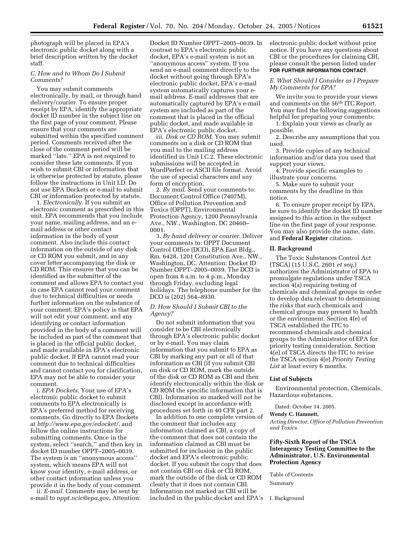photograph will be placed in EPA's electronic public docket along with a brief description written by the docket staff.

# *C. How and to Whom Do I Submit Comments?*

You may submit comments electronically, by mail, or through hand delivery/courier. To ensure proper receipt by EPA, identify the appropriate docket ID number in the subject line on the first page of your comment. Please ensure that your comments are submitted within the specified comment period. Comments received after the close of the comment period will be marked ''late.'' EPA is not required to consider these late comments. If you wish to submit CBI or information that is otherwise protected by statute, please follow the instructions in Unit I.D. Do not use EPA Dockets or e-mail to submit CBI or information protected by statute.

1. *Electronically*. If you submit an electronic comment as prescribed in this unit, EPA recommends that you include your name, mailing address, and an email address or other contact information in the body of your comment. Also include this contact information on the outside of any disk or CD ROM you submit, and in any cover letter accompanying the disk or CD ROM. This ensures that you can be identified as the submitter of the comment and allows EPA to contact you in case EPA cannot read your comment due to technical difficulties or needs further information on the substance of your comment. EPA's policy is that EPA will not edit your comment, and any identifying or contact information provided in the body of a comment will be included as part of the comment that is placed in the official public docket, and made available in EPA's electronic public docket. If EPA cannot read your comment due to technical difficulties and cannot contact you for clarification, EPA may not be able to consider your comment.

i. *EPA Dockets*. Your use of EPA's electronic public docket to submit comments to EPA electronically is EPA's preferred method for receiving comments. Go directly to EPA Dockets at *http://www.epa.gov/edocket/*, and follow the online instructions for submitting comments. Once in the system, select ''search,'' and then key in docket ID number OPPT–2005–0039. The system is an ''anonymous access'' system, which means EPA will not know your identity, e-mail address, or other contact information unless you provide it in the body of your comment.

ii. *E-mail*. Comments may be sent by e-mail to *oppt.ncic@epa.gov*, Attention:

Docket ID Number OPPT–2005–0039. In contrast to EPA's electronic public docket, EPA's e-mail system is not an ''anonymous access'' system. If you send an e-mail comment directly to the docket without going through EPA's electronic public docket, EPA's e-mail system automatically captures your email address. E-mail addresses that are automatically captured by EPA's e-mail system are included as part of the comment that is placed in the official public docket, and made available in EPA's electronic public docket.

iii. *Disk or CD ROM*. You may submit comments on a disk or CD ROM that you mail to the mailing address identified in Unit I.C.2. These electronic submissions will be accepted in WordPerfect or ASCII file format. Avoid the use of special characters and any form of encryption.

2. *By mail*. Send your comments to: Document Control Office (7407M), Office of Pollution Prevention and Toxics (OPPT), Environmental Protection Agency, 1200 Pennsylvania Ave., NW., Washington, DC 20460– 0001.

3. *By hand delivery or courier*. Deliver your comments to: OPPT Document Control Office (DCO), EPA East Bldg., Rm. 6428, 1201 Constitution Ave., NW., Washington, DC. Attention: Docket ID Number OPPT–2005–0039. The DCO is open from 8 a.m. to 4 p.m., Monday through Friday, excluding legal holidays. The telephone number for the DCO is (202) 564–8930.

#### *D. How Should I Submit CBI to the Agency?*

Do not submit information that you consider to be CBI electronically through EPA's electronic public docket or by e-mail. You may claim information that you submit to EPA as CBI by marking any part or all of that information as CBI (if you submit CBI on disk or CD ROM, mark the outside of the disk or CD ROM as CBI and then identify electronically within the disk or CD ROM the specific information that is CBI). Information so marked will not be disclosed except in accordance with procedures set forth in 40 CFR part 2.

In addition to one complete version of the comment that includes any information claimed as CBI, a copy of the comment that does not contain the information claimed as CBI must be submitted for inclusion in the public docket and EPA's electronic public docket. If you submit the copy that does not contain CBI on disk or CD ROM, mark the outside of the disk or CD ROM clearly that it does not contain CBI. Information not marked as CBI will be included in the public docket and EPA's electronic public docket without prior notice. If you have any questions about CBI or the procedures for claiming CBI, please consult the person listed under **FOR FURTHER INFORMATION CONTACT**.

## *E. What Should I Consider as I Prepare My Comments for EPA?*

We invite you to provide your views and comments on the 56th ITC Report. You may find the following suggestions helpful for preparing your comments:

1. Explain your views as clearly as possible.

2. Describe any assumptions that you used.

3. Provide copies of any technical information and/or data you used that support your views.

4. Provide specific examples to illustrate your concerns.

5. Make sure to submit your comments by the deadline in this notice.

6. To ensure proper receipt by EPA, be sure to identify the docket ID number assigned to this action in the subject line on the first page of your response. You may also provide the name, date, and **Federal Register** citation.

#### **II. Background**

The Toxic Substances Control Act (TSCA) (15 U.S.C. 2601 *et seq*.) authorizes the Administrator of EPA to promulgate regulations under TSCA section 4(a) requiring testing of chemicals and chemical groups in order to develop data relevant to determining the risks that such chemicals and chemical groups may present to health or the environment. Section 4(e) of TSCA established the ITC to recommend chemicals and chemical groups to the Administrator of EPA for priority testing consideration. Section 4(e) of TSCA directs the ITC to revise the TSCA section 4(e) *Priority Testing*  List at least every 6 months.

#### **List of Subjects**

Environmental protection, Chemicals, Hazardous substances.

Dated: October 14, 2005.

#### **Wendy C. Hamnett,**

*Acting Director, Office of Pollution Prevention and Toxics.* 

#### **Fifty-Sixth Report of the TSCA Interagency Testing Committee to the Administrator, U.S. Environmental Protection Agency**

Table of Contents

Summary

I. Background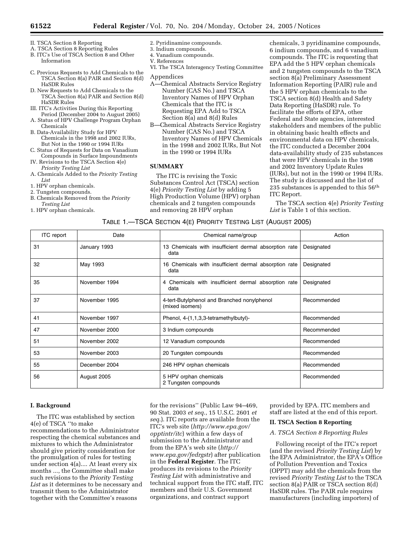- II. TSCA Section 8 Reporting
- A. TSCA Section 8 Reporting Rules B. ITC's Use of TSCA Section 8 and Other Information
- C. Previous Requests to Add Chemicals to the TSCA Section 8(a) PAIR and Section 8(d) HaSDR Rules
- D. New Requests to Add Chemicals to the TSCA Section 8(a) PAIR and Section 8(d) HaSDR Rules
- III. ITC's Activities During this Reporting Period (December 2004 to August 2005)
- A. Status of HPV Challenge Program Orphan Chemicals
- B. Data-Availability Study for HPV Chemicals in the 1998 and 2002 IURs, But Not in the 1990 or 1994 IURs
- C. Status of Requests for Data on Vanadium Compounds in Surface Impoundments
- IV. Revisions to the TSCA Section 4(e) *Priority Testing List*
- A. Chemicals Added to the *Priority Testing List*
- 1. HPV orphan chemicals.
- 2. Tungsten compounds.
- B. Chemicals Removed from the *Priority Testing List*
- 1. HPV orphan chemicals.
- 2. Pyridinamine compounds.
- 3. Indium compounds.
- 4. Vanadium compounds. V. References
- 
- VI. The TSCA Interagency Testing Committee

#### Appendices

- A—Chemical Abstracts Service Registry Number (CAS No.) and TSCA Inventory Names of HPV Orphan Chemicals that the ITC is Requesting EPA Add to TSCA Section 8(a) and 8(d) Rules
- B—Chemical Abstracts Service Registry Number (CAS No.) and TSCA Inventory Names of HPV Chemicals in the 1998 and 2002 IURs, But Not in the 1990 or 1994 IURs

# **SUMMARY**

The ITC is revising the Toxic Substances Control Act (TSCA) section 4(e) *Priority Testing List* by adding 5 High Production Volume (HPV) orphan chemicals and 2 tungsten compounds and removing 28 HPV orphan

chemicals, 3 pyridinamine compounds, 6 indium compounds, and 6 vanadium compounds. The ITC is requesting that EPA add the 5 HPV orphan chemicals and 2 tungsten compounds to the TSCA section 8(a) Preliminary Assessment Information Reporting (PAIR) rule and the 5 HPV orphan chemicals to the TSCA section 8(d) Health and Safety Data Reporting (HaSDR) rule. To facilitate the efforts of EPA, other Federal and State agencies, interested stakeholders and members of the public in obtaining basic health effects and environmental data on HPV chemicals, the ITC conducted a December 2004 data-availability study of 235 substances that were HPV chemicals in the 1998 and 2002 Inventory Update Rules (IURs), but not in the 1990 or 1994 IURs. The study is discussed and the list of 235 substances is appended to this  $56<sup>th</sup>$ ITC Report.

The TSCA section 4(e) *Priority Testing List* is Table 1 of this section.

## TABLE 1.—TSCA SECTION 4(E) PRIORITY TESTING LIST (AUGUST 2005)

| <b>ITC</b> report | Date          | Chemical name/group                                            | Action      |
|-------------------|---------------|----------------------------------------------------------------|-------------|
| 31                | January 1993  | 13 Chemicals with insufficient dermal absorption rate<br>data  | Designated  |
| 32                | May 1993      | 16 Chemicals with insufficient dermal absorption rate<br>data  | Designated  |
| 35                | November 1994 | 4 Chemicals with insufficient dermal absorption rate<br>data   | Designated  |
| 37                | November 1995 | 4-tert-Butylphenol and Branched nonylphenol<br>(mixed isomers) | Recommended |
| 41                | November 1997 | Phenol, 4-(1,1,3,3-tetramethylbutyl)-                          | Recommended |
| 47                | November 2000 | 3 Indium compounds                                             | Recommended |
| 51                | November 2002 | 12 Vanadium compounds                                          | Recommended |
| 53                | November 2003 | 20 Tungsten compounds                                          | Recommended |
| 55                | December 2004 | 246 HPV orphan chemicals                                       | Recommended |
| 56                | August 2005   | 5 HPV orphan chemicals<br>2 Tungsten compounds                 | Recommended |

#### **I. Background**

The ITC was established by section 4(e) of TSCA ''to make recommendations to the Administrator respecting the chemical substances and mixtures to which the Administrator should give priority consideration for the promulgation of rules for testing under section 4(a).... At least every six months ..., the Committee shall make such revisions to the *Priority Testing List* as it determines to be necessary and transmit them to the Administrator together with the Committee's reasons

for the revisions'' (Public Law 94–469, 90 Stat. 2003 *et seq*., 15 U.S.C. 2601 *et seq*.). ITC reports are available from the ITC's web site (*http://www.epa.gov/ opptintr/itc*) within a few days of submission to the Administrator and from the EPA's web site (*http:// www.epa.gov/fedrgstr*) after publication in the **Federal Register**. The ITC produces its revisions to the *Priority Testing List* with administrative and technical support from the ITC staff, ITC members and their U.S. Government organizations, and contract support

provided by EPA. ITC members and staff are listed at the end of this report.

#### **II. TSCA Section 8 Reporting**

#### *A. TSCA Section 8 Reporting Rules*

Following receipt of the ITC's report (and the revised *Priority Testing List*) by the EPA Administrator, the EPA's Office of Pollution Prevention and Toxics (OPPT) may add the chemicals from the revised *Priority Testing List* to the TSCA section 8(a) PAIR or TSCA section 8(d) HaSDR rules. The PAIR rule requires manufacturers (including importers) of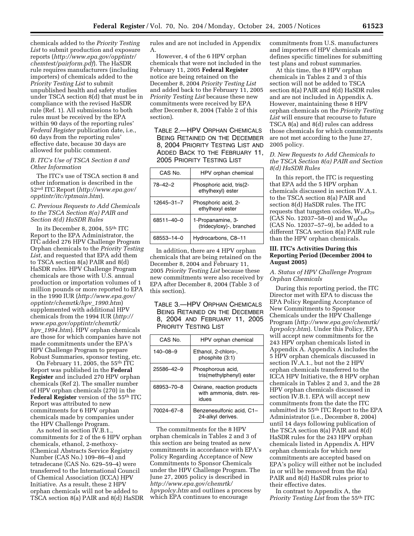chemicals added to the *Priority Testing List* to submit production and exposure reports (*http://www.epa.gov/opptintr/ chemtest/pairform.pdf*). The HaSDR rule requires manufacturers (including importers) of chemicals added to the *Priority Testing List* to submit unpublished health and safety studies under TSCA section 8(d) that must be in compliance with the revised HaSDR rule (Ref. 1). All submissions to both rules must be received by the EPA within 90 days of the reporting rules' *Federal Register* publication date, i.e., 60 days from the reporting rules' effective date, because 30 days are allowed for public comment.

#### *B. ITC's Use of TSCA Section 8 and Other Information*

The ITC's use of TSCA section 8 and other information is described in the 52nd ITC Report (*http://www.epa.gov/ opptintr/itc/rptmain.htm*).

#### *C. Previous Requests to Add Chemicals to the TSCA Section 8(a) PAIR and Section 8(d) HaSDR Rules*

In its December 8, 2004, 55th ITC Report to the EPA Administrator, the ITC added 276 HPV Challenge Program Orphan chemicals to the *Priority Testing List*, and requested that EPA add them to TSCA section 8(a) PAIR and 8(d) HaSDR rules. HPV Challenge Program chemicals are those with U.S. annual production or importation volumes of 1 million pounds or more reported to EPA in the 1990 IUR (*http://www.epa.gov/ opptintr/chemrtk/hpv*\_*1990.htm*) supplemented with additional HPV chemicals from the 1994 IUR (*http:// www.epa.gov/opptintr/chemrtk/ hpv*\_*1994.htm*). HPV orphan chemicals are those for which companies have not made commitments under the EPA's HPV Challenge Program to prepare Robust Summaries, sponsor testing, etc.

On February 11, 2005, the 55th ITC Report was published in the **Federal Register** and included 270 HPV orphan chemicals (Ref 2). The smaller number of HPV orphan chemicals (270) in the **Federal Register** version of the 55th ITC Report was attributed to new commitments for 6 HPV orphan chemicals made by companies under the HPV Challenge Program.

As noted in section IV.B.1., commitments for 2 of the 6 HPV orphan chemicals, ethanol, 2-methoxy- (Chemical Abstracts Service Registry Number (CAS No.) 109–86–4) and tetradecane (CAS No. 629–59–4) were transferred to the International Council of Chemical Association (ICCA) HPV Initiative. As a result, these 2 HPV orphan chemicals will not be added to TSCA section 8(a) PAIR and 8(d) HaSDR rules and are not included in Appendix A.

However, 4 of the 6 HPV orphan chemicals that were not included in the February 11, 2005 **Federal Register**  notice are being retained on the December 8, 2004 *Priority Testing List*  and added back to the February 11, 2005 *Priority Testing List* because these new commitments were received by EPA after December 8, 2004 (Table 2 of this section).

TABLE 2.—HPV ORPHAN CHEMICALS BEING RETAINED ON THE DECEMBER 8, 2004 PRIORITY TESTING LIST AND ADDED BACK TO THE FEBRUARY 11, 2005 PRIORITY TESTING LIST

| CAS No.    | HPV orphan chemical                           |
|------------|-----------------------------------------------|
| 78–42–2    | Phosphoric acid, tris(2-<br>ethylhexyl) ester |
| 12645-31-7 | Phosphoric acid, 2-<br>ethylhexyl ester       |
| 68511-40-0 | 1-Propanamine, 3-<br>(tridecyloxy)-, branched |
| 68553-14-0 | Hydrocarbons, C8-11                           |

In addition, there are 4 HPV orphan chemicals that are being retained on the December 8, 2004 and February 11, 2005 *Priority Testing List* because these new commitments were also received by EPA after December 8, 2004 (Table 3 of this section).

# TABLE 3.—HPV ORPHAN CHEMICALS BEING RETAINED ON THE DECEMBER 8, 2004 AND FEBRUARY 11, 2005 PRIORITY TESTING LIST

| CAS No.        | HPV orphan chemical                                              |  |
|----------------|------------------------------------------------------------------|--|
| $140 - 08 - 9$ | Ethanol, 2-chloro-,<br>phosphite (3:1)                           |  |
| 25586-42-9     | Phosphorous acid,<br>tris(methylphenyl) ester                    |  |
| 68953-70-8     | Oxirane, reaction products<br>with ammonia, distn. res-<br>idues |  |
| 70024-67-8     | Benzenesulfonic acid, C1-<br>24-alkyl derives.                   |  |

The commitments for the 8 HPV orphan chemicals in Tables 2 and 3 of this section are being treated as new commitments in accordance with EPA's Policy Regarding Acceptance of New Commitments to Sponsor Chemicals under the HPV Challenge Program. The June 27, 2005 policy is described in *http://www.epa.gov/chemrtk/ hpvpolcy.htm* and outlines a process by which EPA continues to encourage

commitments from U.S. manufacturers and importers of HPV chemicals and defines specific timelines for submitting test plans and robust summaries.

At this time, the 8 HPV orphan chemicals in Tables 2 and 3 of this section will not be added to TSCA section 8(a) PAIR and 8(d) HaSDR rules and are not included in Appendix A. However, maintaining these 8 HPV orphan chemicals on the *Priority Testing List* will ensure that recourse to future TSCA 8(a) and 8(d) rules can address those chemicals for which commitments are not met according to the June 27, 2005 policy.

# *D. New Requests to Add Chemicals to the TSCA Section 8(a) PAIR and Section 8(d) HaSDR Rules*

In this report, the ITC is requesting that EPA add the 5 HPV orphan chemicals discussed in section IV.A.1. to the TSCA section 8(a) PAIR and section 8(d) HaSDR rules. The ITC requests that tungsten oxides,  $W_{10}O_{29}$ (CAS No. 12037–58–0) and  $W_{18}O_{49}$ (CAS No. 12037–57–9), be added to a different TSCA section 8(a) PAIR rule than the HPV orphan chemicals.

#### **III. ITC's Activities During this Reporting Period (December 2004 to August 2005)**

## *A. Status of HPV Challenge Program Orphan Chemicals*

During this reporting period, the ITC Director met with EPA to discuss the EPA Policy Regarding Acceptance of New Commitments to Sponsor Chemicals under the HPV Challenge Program (*http://www.epa.gov/chemrtk/ hpvpolcy.htm*). Under this Policy, EPA will accept new commitments for the 243 HPV orphan chemicals listed in Appendix A. Appendix A includes the 5 HPV orphan chemicals discussed in section IV.A.1., but not the 2 HPV orphan chemicals transferred to the ICCA HPV Initiative, the 8 HPV orphan chemicals in Tables 2 and 3, and the 28 HPV orphan chemicals discussed in section IV.B.1. EPA will accept new commitments from the date the ITC submitted its 55th ITC Report to the EPA Administrator (i.e., December 8, 2004) until 14 days following publication of the TSCA section 8(a) PAIR and 8(d) HaSDR rules for the 243 HPV orphan chemicals listed in Appendix A. HPV orphan chemicals for which new commitments are accepted based on EPA's policy will either not be included in or will be removed from the 8(a) PAIR and 8(d) HaSDR rules prior to their effective dates.

In contrast to Appendix A, the *Priority Testing List* from the 55th ITC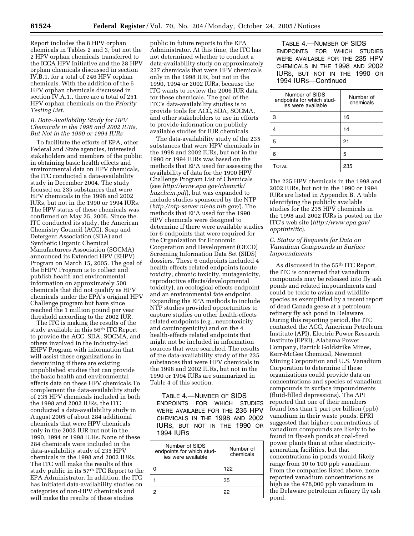Report includes the 8 HPV orphan chemicals in Tables 2 and 3, but not the 2 HPV orphan chemicals transferred to the ICCA HPV Initiative and the 28 HPV orphan chemicals discussed in section IV.B.1. for a total of 246 HPV orphan chemicals. With the addition of the 5 HPV orphan chemicals discussed in section IV.A.1., there are a total of 251 HPV orphan chemicals on the *Priority Testing List*.

#### *B. Data-Availability Study for HPV Chemicals in the 1998 and 2002 IURs, But Not in the 1990 or 1994 IURs*

To facilitate the efforts of EPA, other Federal and State agencies, interested stakeholders and members of the public in obtaining basic health effects and environmental data on HPV chemicals, the ITC conducted a data-availability study in December 2004. The study focused on 235 substances that were HPV chemicals in the 1998 and 2002 IURs, but not in the 1990 or 1994 IURs. The HPV status of these chemicals was confirmed on May 25, 2005. Since the ITC conducted its study, the American Chemistry Council (ACC), Soap and Detergent Association (SDA) and Synthetic Organic Chemical Manufacturers Association (SOCMA) announced its Extended HPV (EHPV) Program on March 15, 2005. The goal of the EHPV Program is to collect and publish health and environmental information on approximately 500 chemicals that did not qualify as HPV chemicals under the EPA's original HPV Challenge program but have since reached the 1 million pound per year threshold according to the 2002 IUR.

The ITC is making the results of the study available in this 56th ITC Report to provide the ACC, SDA, SOCMA, and others involved in the industry-led EHPV Program with information that will assist these organizations in determining if there are existing unpublished studies that can provide the basic health and environmental effects data on these HPV chemicals.To complement the data-availability study of 235 HPV chemicals included in both the 1998 and 2002 IURs, the ITC conducted a data-availability study in August 2005 of about 284 additional chemicals that were HPV chemicals only in the 2002 IUR but not in the 1990, 1994 or 1998 IURs. None of these 284 chemicals were included in the data-availability study of 235 HPV chemicals in the 1998 and 2002 IURs. The ITC will make the results of this study public in its 57th ITC Report to the EPA Administrator. In addition, the ITC has initiated data-availability studies on categories of non-HPV chemicals and will make the results of these studies

public in future reports to the EPA Administrator. At this time, the ITC has not determined whether to conduct a data-availability study on approximately 237 chemicals that were HPV chemicals only in the 1998 IUR, but not in the 1990, 1994 or 2002 IURs, because the ITC wants to review the 2006 IUR data for these chemicals. The goal of the ITC's data-availability studies is to provide tools for ACC, SDA, SOCMA, and other stakeholders to use in efforts to provide information on publicly available studies for IUR chemicals.

The data-availability study of the 235 substances that were HPV chemicals in the 1998 and 2002 IURs, but not in the 1990 or 1994 IURs was based on the methods that EPA used for assessing the availability of data for the 1990 HPV Challenge Program List of Chemicals (see *http://www.epa.gov/chemrtk/ hazchem.pdf*), but was expanded to include studies sponsored by the NTP (*http://ntp-server.niehs.nih.gov/*). The methods that EPA used for the 1990 HPV chemicals were designed to determine if there were available studies for 6 endpoints that were required for the Organization for Economic Cooperation and Development (OECD) Screening Information Data Set (SIDS) dossiers. These 6 endpoints included 4 health-effects related endpoints (acute toxicity, chronic toxicity, mutagenicity, reproductive effects/developmental toxicity), an ecological effects endpoint and an environmental fate endpoint. Expanding the EPA methods to include NTP studies provided opportunities to capture studies on other health-effects related endpoints (e.g., neurotoxicity and carcinogenicity) and on the 4 health-effects related endpoints that might not be included in information sources that were searched. The results of the data-availability study of the 235 substances that were HPV chemicals in the 1998 and 2002 IURs, but not in the 1990 or 1994 IURs are summarized in Table 4 of this section.

TABLE 4.—NUMBER OF SIDS ENDPOINTS FOR WHICH STUDIES WERE AVAILABLE FOR THE 235 HPV CHEMICALS IN THE 1998 AND 2002 IURS, BUT NOT IN THE 1990 OR 1994 IURS

| Number of SIDS<br>endpoints for which stud-<br>ies were available | Number of<br>chemicals |
|-------------------------------------------------------------------|------------------------|
|                                                                   | 122                    |
|                                                                   | 35                     |
|                                                                   | 22                     |

TABLE 4.—NUMBER OF SIDS ENDPOINTS FOR WHICH STUDIES WERE AVAILABLE FOR THE 235 HPV CHEMICALS IN THE 1998 AND 2002 IURS, BUT NOT IN THE 1990 OR 1994 IURS—Continued

| Number of SIDS<br>endpoints for which stud-<br>ies were available | Number of<br>chemicals |
|-------------------------------------------------------------------|------------------------|
| 3                                                                 | 16                     |
|                                                                   | 14                     |
| 5                                                                 | 21                     |
| 6                                                                 | 5                      |
| Тотаі                                                             | 235                    |

The 235 HPV chemicals in the 1998 and 2002 IURs, but not in the 1990 or 1994 IURs are listed in Appendix B. A table identifying the publicly available studies for the 235 HPV chemicals in the 1998 and 2002 IURs is posted on the ITC's web site (*http://www.epa.gov/ opptintr/itc*).

## *C. Status of Requests for Data on Vanadium Compounds in Surface Impoundments*

As discussed in the 55th ITC Report, the ITC is concerned that vanadium compounds may be released into fly ash ponds and related impoundments and could be toxic to avian and wildlife species as exemplified by a recent report of dead Canada geese at a petroleum refinery fly ash pond in Delaware. During this reporting period, the ITC contacted the ACC, American Petroleum Institute (API), Electric Power Research Institute (EPRI), Alabama Power Company, Barrick Goldstrike Mines, Kerr-McGee Chemical, Newmont Mining Corporation and U.S. Vanadium Corporation to determine if these organizations could provide data on concentrations and species of vanadium compounds in surface impoundments (fluid-filled depressions). The API reported that one of their members found less than 1 part per billion (ppb) vanadium in their waste ponds. EPRI suggested that higher concentrations of vanadium compounds are likely to be found in fly-ash ponds at coal-fired power plants than at other electricitygenerating facilities, but that concentrations in ponds would likely range from 10 to 100 ppb vanadium. From the companies listed above, none reported vanadium concentrations as high as the 478,000 ppb vanadium in the Delaware petroleum refinery fly ash pond.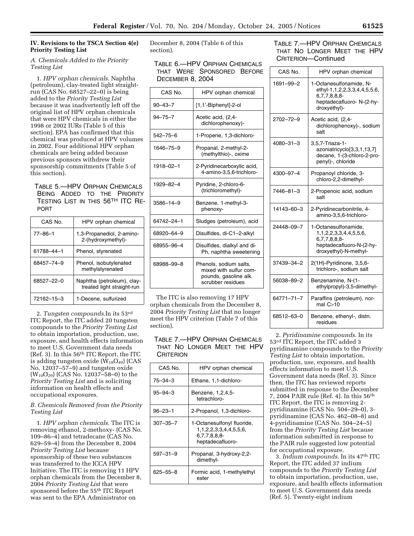# **IV. Revisions to the TSCA Section 4(e) Priority Testing List**

# *A. Chemicals Added to the Priority Testing List*

1. *HPV orphan chemicals*. Naphtha (petroleum), clay-treated light straightrun (CAS No. 68527–22–0) is being added to the *Priority Testing List*  because it was inadvertently left off the original list of HPV orphan chemicals that were HPV chemicals in either the 1998 or 2002 IURs (Table 5 of this section). EPA has confirmed that this chemical was produced at HPV volumes in 2002. Four additional HPV orphan chemicals are being added because previous sponsors withdrew their sponsorship commitments (Table 5 of this section).

# TABLE 5.—HPV ORPHAN CHEMICALS BEING ADDED TO THE PRIORITY TESTING LIST IN THIS 56TH ITC RE-PORT

| CAS No.       | HPV orphan chemical                                      |
|---------------|----------------------------------------------------------|
| $77 - 86 - 1$ | 1,3-Propanediol, 2-amino-<br>2-(hydroxymethyl)-          |
| 61788-44-1    | Phenol, styrenated                                       |
| 68457-74-9    | Phenol, isobutylenated<br>methylstyrenated               |
| 68527-22-0    | Naphtha (petroleum), clay-<br>treated light straight-run |
| 72162-15-3    | 1-Decene, sulfurized                                     |

2. *Tungsten compounds*.In its 53rd ITC Report, the ITC added 20 tungsten compounds to the *Priority Testing List*  to obtain importation, production, use, exposure, and health effects information to meet U.S. Government data needs (Ref. 3). In this 56th ITC Report, the ITC is adding tungsten oxide  $(W_{18}O_{49})$  (CAS No. 12037–57–9) and tungsten oxide  $(W_{10}O_{29})$  (CAS No. 12037–58–0) to the *Priority Testing List* and is soliciting information on health effects and occupational exposures.

# *B. Chemicals Removed from the Priority Testing List*

1. *HPV orphan chemicals*. The ITC is removing ethanol, 2-methoxy- (CAS No. 109–86–4) and tetradecane (CAS No. 629–59–4) from the December 8, 2004 *Priority Testing List* because sponsorship of these two substances was transferred to the ICCA HPV Initiative. The ITC is removing 11 HPV orphan chemicals from the December 8, 2004 *Priority Testing List* that were sponsored before the 55th ITC Report was sent to the EPA Administrator on

December 8, 2004 (Table 6 of this section).

# TABLE 6.—HPV ORPHAN CHEMICALS THAT WERE SPONSORED BEFORE DECEMBER 8, 2004

| CAS No.        | HPV orphan chemical                                                                            |
|----------------|------------------------------------------------------------------------------------------------|
| $90 - 43 - 7$  | [1,1'-Biphenyl]-2-ol                                                                           |
| $94 - 75 - 7$  | Acetic acid, (2,4-<br>dichlorophenoxy)-                                                        |
| $542 - 75 - 6$ | 1-Propene, 1,3-dichloro-                                                                       |
| 1646-75-9      | Propanal, 2-methyl-2-<br>(methylthio)-, oxime                                                  |
| 1918-02-1      | 2-Pyridinecarboxylic acid,<br>4-amino-3,5,6-trichloro-                                         |
| 1929-82-4      | Pyridine, 2-chloro-6-<br>(trichloromethyl)-                                                    |
| 3586-14-9      | Benzene, 1-methyl-3-<br>phenoxy-                                                               |
| 64742-24-1     | Sludges (petroleum), acid                                                                      |
| 68920-64-9     | Disulfides, di-C1-2-alkyl                                                                      |
| 68955-96-4     | Disulfides, dialkyl and di-<br>Ph, naphtha sweetening                                          |
| 68988-99-8     | Phenols, sodium salts,<br>mixed with sulfur com-<br>pounds, gasoline alk.<br>scrubber residues |

The ITC is also removing 17 HPV orphan chemicals from the December 8, 2004 *Priority Testing List* that no longer meet the HPV criterion (Table 7 of this section).

# TABLE 7.—HPV ORPHAN CHEMICALS THAT NO LONGER MEET THE HPV **CRITERION**

| HPV orphan chemical                                                                     |
|-----------------------------------------------------------------------------------------|
| Ethane, 1,1-dichloro-                                                                   |
| Benzene, 1,2,4,5-<br>tetrachloro-                                                       |
| 2-Propanol, 1,3-dichloro-                                                               |
| 1-Octanesulfonyl fluoride,<br>1.1.2.2.3.3.4.4.5.5.6.<br>6.7.7.8.8.8<br>heptadecafluoro- |
| Propanal, 3-hydroxy-2,2-<br>dimethyl-                                                   |
| Formic acid, 1-methylethyl<br>ester                                                     |
|                                                                                         |

# TABLE 7.—HPV ORPHAN CHEMICALS THAT NO LONGER MEET THE HPV CRITERION—Continued

| CAS No.         | HPV orphan chemical                                                                                                           |
|-----------------|-------------------------------------------------------------------------------------------------------------------------------|
| 1691–99–2       | 1-Octanesulfonamide, N-<br>ethyl-1,1,2,2,3,3,4,4,5,5,6,<br>6,7,7,8,8,8-<br>heptadecafluoro-N-(2-hy-<br>droxyethyl)-           |
| 2702-72-9       | Acetic acid, (2,4-<br>dichlorophenoxy)-, sodium<br>salt                                                                       |
| $4080 - 31 - 3$ | 3,5,7-Triaza-1-<br>azoniatricyclo[3,3,1,13,7]<br>decane, 1-(3-chloro-2-pro-<br>penyl)-, chloride                              |
| 4300-97-4       | Propanoyl chloride, 3-<br>chloro-2,2-dimethyl-                                                                                |
| 7446-81-3       | 2-Propenoic acid, sodium<br>salt                                                                                              |
| 14143–60–3      | 2-Pyridinecarbonitrile, 4-<br>amino-3,5,6-trichloro-                                                                          |
| 24448-09-7      | 1-Octanesulfonamide,<br>1, 1, 2, 2, 3, 3, 4, 4, 5, 5, 6,<br>6,7,7,8,8,8-<br>heptadecafluoro-N-(2-hy-<br>droxyethyl)-N-methyl- |
| 37439-34-2      | 2(1H)-Pyridinone, 3,5,6-<br>trichloro-, sodium salt                                                                           |
| 56038–89–2      | Benzenamine, N-(1-<br>ethylpropyl)-3,5-dimethyl-                                                                              |
| 64771-71-7      | Paraffins (petroleum), nor-<br>mal $C>10$                                                                                     |
| 68512-63-0      | Benzene, ethenyl-, distn.<br>residues                                                                                         |

2. *Pyridinamine compounds*. In its 53rd ITC Report, the ITC added 3 pyridinamine compounds to the *Priority Testing List* to obtain importation, production, use, exposure, and health effects information to meet U.S. Government data needs (Ref. 3). Since then, the ITC has reviewed reports submitted in response to the December 7, 2004 PAIR rule (Ref. 4). In this 56th ITC Report, the ITC is removing 2 pyridinamine (CAS No. 504–29–0), 3 pyridinamine (CAS No. 462–08–8) and 4-pyridinamine (CAS No. 504–24–5) from the *Priority Testing List* because information submitted in response to the PAIR rule suggested low potential for occupational exposure.

3. *Indium compounds*. In its 47th ITC Report, the ITC added 37 indium compounds to the *Priority Testing List*  to obtain importation, production, use, exposure, and health effects information to meet U.S. Government data needs (Ref. 5). Twenty-eight indium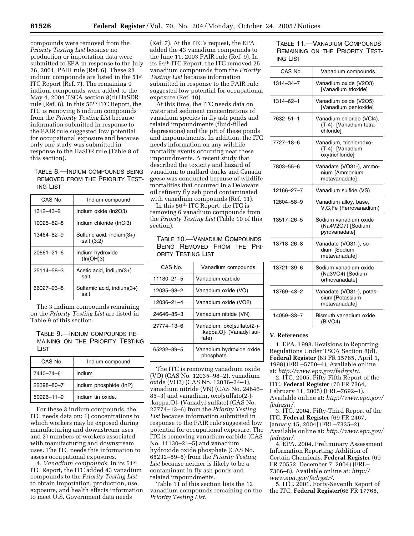compounds were removed from the *Priority Testing List* because no production or importation data were submitted to EPA in response to the July 26, 2001, PAIR rule (Ref. 6). These 28 indium compounds are listed in the 51st ITC Report (Ref. 7). The remaining 9 indium compounds were added to the May 4, 2004 TSCA section 8(d) HaSDR rule (Ref. 8). In this 56th ITC Report, the ITC is removing 6 indium compounds from the *Priority Testing List* because information submitted in response to the PAIR rule suggested low potential for occupational exposure and because only one study was submitted in response to the HaSDR rule (Table 8 of this section).

TABLE 8.—INDIUM COMPOUNDS BEING REMOVED FROM THE PRIORITY TEST-ING LIST

| CAS No.    | Indium compound                         |
|------------|-----------------------------------------|
| 1312-43-2  | Indium oxide (In2O3)                    |
| 10025-82-8 | Indium chloride (InCl3)                 |
| 13464-82-9 | Sulfuric acid, indium(3+)<br>salt (3:2) |
| 20661-21-6 | Indium hydroxide<br>(In(OH)3)           |
| 25114-58-3 | Acetic acid, indium $(3+)$<br>salt      |
| 66027-93-8 | Sulfamic acid, indium(3+)<br>salt       |

The 3 indium compounds remaining on the *Priority Testing List* are listed in Table 9 of this section.

TABLE 9.—INDIUM COMPOUNDS RE-MAINING ON THE PRIORITY TESTING LIST

| CAS No.          | Indium compound        |
|------------------|------------------------|
| 7440–74–6        | Indium                 |
| 22398-80-7       | Indium phosphide (InP) |
| $50926 - 11 - 9$ | Indium tin oxide.      |

For these 3 indium compounds, the ITC needs data on: 1) concentrations to which workers may be exposed during manufacturing and downstream uses and 2) numbers of workers associated with manufacturing and downstream uses. The ITC needs this information to assess occupational exposures.

4. *Vanadium compounds*. In its 51st ITC Report, the ITC added 43 vanadium compounds to the *Priority Testing List*  to obtain importation, production, use, exposure, and health effects information to meet U.S. Government data needs

(Ref. 7). At the ITC's request, the EPA added the 43 vanadium compounds to the June 11, 2003 PAIR rule (Ref. 9). In its 54th ITC Report, the ITC removed 25 vanadium compounds from the *Priority Testing List* because information submitted in response to the PAIR rule suggested low potential for occupational exposure (Ref. 10).

At this time, the ITC needs data on water and sediment concentrations of vanadium species in fly ash ponds and related impoundments (fluid-filled depressions) and the pH of these ponds and impoundments. In addition, the ITC needs information on any wildlife mortality events occurring near these impoundments. A recent study that described the toxicity and hazard of vanadium to mallard ducks and Canada geese was conducted because of wildlife mortalities that occurred in a Delaware oil refinery fly ash pond contaminated with vanadium compounds (Ref. 11).

In this 56th ITC Report, the ITC is removing 6 vanadium compounds from the *Priority Testing List* (Table 10 of this section).

| CAS No.    | Vanadium compounds                                              |
|------------|-----------------------------------------------------------------|
| 11130-21-5 | Vanadium carbide                                                |
| 12035-98-2 | Vanadium oxide (VO)                                             |
| 12036-21-4 | Vanadium oxide (VO2)                                            |
| 24646-85-3 | Vanadium nitride (VN)                                           |
| 27774-13-6 | Vanadium, oxo[sulfato(2-)-<br>.kappa.O]- (Vanadyl sul-<br>fate) |
| 65232-89-5 | Vanadium hydroxide oxide<br>phosphate                           |

TABLE 10.—VANADIUM COMPOUNDS BEING REMOVED FROM THE PRI-ORITY TESTING LIST

The ITC is removing vanadium oxide (VO) (CAS No. 12035–98–2), vanadium oxide (VO2) (CAS No. 12036–24–1), vanadium nitride (VN) (CAS No. 24646– 85–3) and vanadium, oxo[sulfato(2-)- .kappa.O]- (Vanadyl sulfate) (CAS No. 27774–13–6) from the *Priority Testing List* because information submitted in response to the PAIR rule suggested low potential for occupational exposure. The ITC is removing vanadium carbide (CAS No. 11130–21–5) and vanadium hydroxide oxide phosphate (CAS No. 65232–89–5) from the *Priority Testing List* because neither is likely to be a contaminant in fly ash ponds and related impoundments.

Table 11 of this section lists the 12 vanadium compounds remaining on the *Priority Testing List*.

TABLE 11.—VANADIUM COMPOUNDS REMAINING ON THE PRIORITY TEST-ING LIST

| CAS No.    | Vanadium compounds                                                |
|------------|-------------------------------------------------------------------|
| 1314-34-7  | Vanadium oxide (V2O3)<br>[Vanadium trioxide]                      |
| 1314-62-1  | Vanadium oxide (V2O5)<br>[Vanadium pentoxide]                     |
| 7632-51-1  | Vanadium chloride (VCl4),<br>(T-4)- [Vanadium tetra-<br>chloridel |
| 7727-18-6  | Vanadium, trichlorooxo-,<br>(T-4)- [Vanadium<br>oxytrichloride]   |
| 7803-55-6  | Vanadate (VO31-), ammo-<br>nium [Ammonium<br>metavanadatel        |
| 12166-27-7 | Vanadium sulfide (VS)                                             |
| 12604–58–9 | Vanadium alloy, base,<br>V,C,Fe (Ferrovanadium)                   |
| 13517-26-5 | Sodium vanadium oxide<br>(Na4V2O7) [Sodium<br>pyrovanadate]       |
| 13718–26–8 | Vanadate (VO31-), so-<br>dium [Sodium<br>metavanadatel            |
| 13721–39–6 | Sodium vanadium oxide<br>(Na3VO4) [Sodium<br>orthovanadate]       |
| 13769-43-2 | Vanadate (VO31-), potas-<br>sium [Potassium<br>metavanadatel      |
| 14059-33-7 | Bismuth vanadium oxide<br>(BiVO4)                                 |

## **V. References**

1. EPA. 1998. Revisions to Reporting Regulations Under TSCA Section 8(d). **Federal Register** (63 FR 15765, April 1, 1998) (FRL–5750–4). Available online at: *http://www.epa.gov/fedrgstr/*.

2. ITC. 2005. Fifty-Fifth Report of the ITC. **Federal Register** (70 FR 7364, February 11, 2005) (FRL–7692–1). Available online at: *http://www.epa.gov/ fedrgstr/*.

3. ITC. 2004. Fifty-Third Report of the ITC. **Federal Register** (69 FR 2467, January 15, 2004) (FRL–7335–2). Available online at: *http://www.epa.gov/ fedrgstr/*.

4. EPA. 2004. Preliminary Assessment Information Reporting; Addition of Certain Chemicals. **Federal Register** (69 FR 70552, December 7, 2004) (FRL– 7366–8). Available online at: *http:// www.epa.gov/fedrgstr/*.

5. ITC. 2001. Forty-Seventh Report of the ITC. **Federal Register**(66 FR 17768,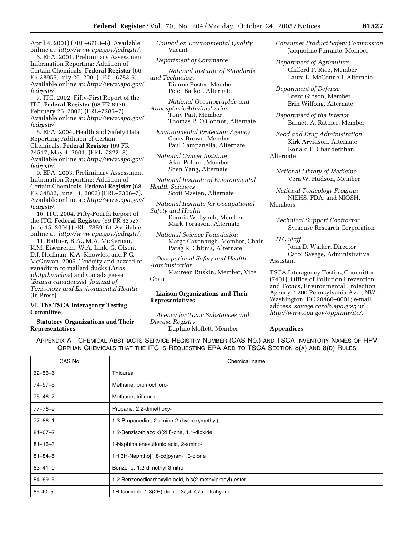April 4, 2001) (FRL–6763–6). Available online at: *http://www.epa.gov/fedrgstr/*.

6. EPA. 2001. Preliminary Assessment Information Reporting; Addition of Certain Chemicals. **Federal Register** (66 FR 38955, July 26, 2001) (FRL-6783-6). Available online at: *http://www.epa.gov/ fedrgstr/*.

7. ITC. 2002. Fifty-First Report of the ITC. **Federal Register** (68 FR 8976, February 26, 2003) (FRL–7285–7). Available online at: *http://www.epa.gov/ fedrgstr/*.

8. EPA. 2004. Health and Safety Data Reporting; Addition of Certain Chemicals. **Federal Register** (69 FR 24517, May 4, 2004) (FRL–7322–8). Available online at: *http://www.epa.gov/ fedrgstr/*.

9. EPA. 2003. Preliminary Assessment Information Reporting; Addition of Certain Chemicals. **Federal Register** (68 FR 34832, June 11, 2003) (FRL–7306–7). Available online at: *http://www.epa.gov/ fedrgstr/*.

10. ITC. 2004. Fifty-Fourth Report of the ITC. **Federal Register** (69 FR 33527, June 15, 2004) (FRL–7359–6). Available online at: *http://www.epa.gov/fedrgstr/*.

11. Rattner, B.A., M.A. McKernan, K.M. Eisenreich, W.A. Link, G. Olsen, D.J. Hoffman, K.A. Knowles, and P.C. McGowan. 2005. Toxicity and hazard of vanadium to mallard ducks (*Anas platyrhynchos*) and Canada geese (*Branta canadensis*). *Journal of Toxicology and Environmental Health*  (In Press)

## **VI. The TSCA Interagency Testing Committee**

## **Statutory Organizations and Their Representatives**

*Council on Environmental Quality*  Vacant

*Department of Commerce* 

*National Institute of Standards and Technology*  Dianne Poster, Member Peter Barker, Alternate

*National Oceanographic and AtmosphericAdministration*  Tony Pait, Member Thomas P. O'Connor, Alternate

*Environmental Protection Agency*  Gerry Brown, Member Paul Campanella, Alternate

*National Cancer Institute*  Alan Poland, Member Shen Yang, Alternate

*National Institute of Environmental Health Sciences* 

Scott Masten, Alternate

*National Institute for Occupational Safety and Health* 

Dennis W. Lynch, Member Mark Toraason, Alternate

*National Science Foundation*  Marge Cavanaugh, Member, Chair Parag R. Chitnis, Alternate

*Occupational Safety and Health Administration* 

Maureen Ruskin, Member, Vice Chair

#### **Liaison Organizations and Their Representatives**

*Agency for Toxic Substances and Disease Registry* 

Daphne Moffett, Member

*Consumer Product Safety Commission*  Jacqueline Ferrante, Member

*Department of Agriculture*  Clifford P. Rice, Member Laura L. McConnell, Alternate

*Department of Defense*  Brent Gibson, Member Erin Wilfong, Alternate

*Department of the Interior*  Barnett A. Rattner, Member

*Food and Drug Administration*  Kirk Arvidson, Alternate Ronald F. Chanderbhan, Alternate

*National Library of Medicine*  Vera W. Hudson, Member

*National Toxicology Program*  NIEHS, FDA, and NIOSH, Members

*Technical Support Contractor*  Syracuse Research Corporation

*ITC Staff* 

John D. Walker, Director Carol Savage, Administrative Assistant

TSCA Interagency Testing Committee (7401), Office of Pollution Prevention and Toxics, Environmental Protection Agency, 1200 Pennsylvania Ave., NW., Washington, DC 20460–0001; e-mail address: *savage.carol@epa.gov*; url: *http://www.epa.gov/opptintr/itc/*.

# **Appendices**

| CAS No.       | Chemical name                                           |
|---------------|---------------------------------------------------------|
| $62 - 56 - 6$ | Thiourea                                                |
| $74 - 97 - 5$ | Methane, bromochloro-                                   |
| $75 - 46 - 7$ | Methane, trifluoro-                                     |
| $77 - 76 - 9$ | Propane, 2,2-dimethoxy-                                 |
| $77 - 86 - 1$ | 1,3-Propanediol, 2-amino-2-(hydroxymethyl)-             |
| $81 - 07 - 2$ | 1,2-Benzisothiazol-3(2H)-one, 1,1-dioxide               |
| $81 - 16 - 3$ | 1-Naphthalenesulfonic acid, 2-amino-                    |
| $81 - 84 - 5$ | 1H, 3H-Naphtho <sup>[1, 8-cd]</sup> pyran-1, 3-dione    |
| $83 - 41 - 0$ | Benzene, 1,2-dimethyl-3-nitro-                          |
| $84 - 69 - 5$ | 1,2-Benzenedicarboxylic acid, bis(2-methylpropyl) ester |
| $85 - 40 - 5$ | 1H-Isoindole-1,3(2H)-dione, 3a,4,7,7a-tetrahydro-       |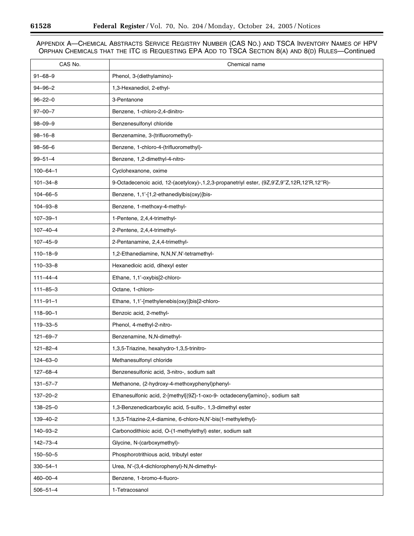-

۰

| CAS No.        | Chemical name                                                                              |
|----------------|--------------------------------------------------------------------------------------------|
| $91 - 68 - 9$  | Phenol, 3-(diethylamino)-                                                                  |
| $94 - 96 - 2$  | 1,3-Hexanediol, 2-ethyl-                                                                   |
| $96 - 22 - 0$  | 3-Pentanone                                                                                |
| $97 - 00 - 7$  | Benzene, 1-chloro-2,4-dinitro-                                                             |
| $98 - 09 - 9$  | Benzenesulfonyl chloride                                                                   |
| $98 - 16 - 8$  | Benzenamine, 3-(trifluoromethyl)-                                                          |
| $98 - 56 - 6$  | Benzene, 1-chloro-4-(trifluoromethyl)-                                                     |
| $99 - 51 - 4$  | Benzene, 1,2-dimethyl-4-nitro-                                                             |
| $100 - 64 - 1$ | Cyclohexanone, oxime                                                                       |
| $101 - 34 - 8$ | 9-Octadecenoic acid, 12-(acetyloxy)-,1,2,3-propanetriyl ester, (9Z,9'Z,9"Z,12R,12'R,12"R)- |
| $104 - 66 - 5$ | Benzene, 1,1'-[1,2-ethanediylbis(oxy)]bis-                                                 |
| $104 - 93 - 8$ | Benzene, 1-methoxy-4-methyl-                                                               |
| $107 - 39 - 1$ | 1-Pentene, 2,4,4-trimethyl-                                                                |
| $107 - 40 - 4$ | 2-Pentene, 2,4,4-trimethyl-                                                                |
| $107 - 45 - 9$ | 2-Pentanamine, 2,4,4-trimethyl-                                                            |
| $110 - 18 - 9$ | 1,2-Ethanediamine, N,N,N',N'-tetramethyl-                                                  |
| $110 - 33 - 8$ | Hexanedioic acid, dihexyl ester                                                            |
| $111 - 44 - 4$ | Ethane, 1,1'-oxybis[2-chloro-                                                              |
| $111 - 85 - 3$ | Octane, 1-chloro-                                                                          |
| $111 - 91 - 1$ | Ethane, 1,1'-[methylenebis(oxy)]bis[2-chloro-                                              |
| $118 - 90 - 1$ | Benzoic acid, 2-methyl-                                                                    |
| $119 - 33 - 5$ | Phenol, 4-methyl-2-nitro-                                                                  |
| $121 - 69 - 7$ | Benzenamine, N,N-dimethyl-                                                                 |
| $121 - 82 - 4$ | 1,3,5-Triazine, hexahydro-1,3,5-trinitro-                                                  |
| $124 - 63 - 0$ | Methanesulfonyl chloride                                                                   |
| $127 - 68 - 4$ | Benzenesulfonic acid, 3-nitro-, sodium salt                                                |
| $131 - 57 - 7$ | Methanone, (2-hydroxy-4-methoxyphenyl)phenyl-                                              |
| $137 - 20 - 2$ | Ethanesulfonic acid, 2-[methyl[(9Z)-1-oxo-9- octadecenyl]amino]-, sodium salt              |
| $138 - 25 - 0$ | 1,3-Benzenedicarboxylic acid, 5-sulfo-, 1,3-dimethyl ester                                 |
| $139 - 40 - 2$ | 1,3,5-Triazine-2,4-diamine, 6-chloro-N,N'-bis(1-methylethyl)-                              |
| 140-93-2       | Carbonodithioic acid, O-(1-methylethyl) ester, sodium salt                                 |
| $142 - 73 - 4$ | Glycine, N-(carboxymethyl)-                                                                |
| $150 - 50 - 5$ | Phosphorotrithious acid, tributyl ester                                                    |
| $330 - 54 - 1$ | Urea, N'-(3,4-dichlorophenyl)-N,N-dimethyl-                                                |
| $460 - 00 - 4$ | Benzene, 1-bromo-4-fluoro-                                                                 |
| $506 - 51 - 4$ | 1-Tetracosanol                                                                             |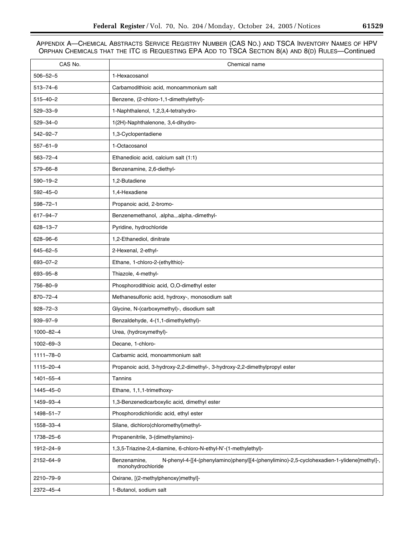| CAS No.         | Chemical name                                                                                                                  |
|-----------------|--------------------------------------------------------------------------------------------------------------------------------|
| $506 - 52 - 5$  | 1-Hexacosanol                                                                                                                  |
| $513 - 74 - 6$  | Carbamodithioic acid, monoammonium salt                                                                                        |
| $515 - 40 - 2$  | Benzene, (2-chloro-1,1-dimethylethyl)-                                                                                         |
| $529 - 33 - 9$  | 1-Naphthalenol, 1,2,3,4-tetrahydro-                                                                                            |
| $529 - 34 - 0$  | 1(2H)-Naphthalenone, 3,4-dihydro-                                                                                              |
| $542 - 92 - 7$  | 1,3-Cyclopentadiene                                                                                                            |
| $557 - 61 - 9$  | 1-Octacosanol                                                                                                                  |
| $563 - 72 - 4$  | Ethanedioic acid, calcium salt (1:1)                                                                                           |
| 579-66-8        | Benzenamine, 2,6-diethyl-                                                                                                      |
| $590 - 19 - 2$  | 1,2-Butadiene                                                                                                                  |
| $592 - 45 - 0$  | 1,4-Hexadiene                                                                                                                  |
| $598 - 72 - 1$  | Propanoic acid, 2-bromo-                                                                                                       |
| 617-94-7        | Benzenemethanol, .alpha.,.alpha.-dimethyl-                                                                                     |
| $628 - 13 - 7$  | Pyridine, hydrochloride                                                                                                        |
| 628-96-6        | 1,2-Ethanediol, dinitrate                                                                                                      |
| $645 - 62 - 5$  | 2-Hexenal, 2-ethyl-                                                                                                            |
| $693 - 07 - 2$  | Ethane, 1-chloro-2-(ethylthio)-                                                                                                |
| 693-95-8        | Thiazole, 4-methyl-                                                                                                            |
| 756-80-9        | Phosphorodithioic acid, O,O-dimethyl ester                                                                                     |
| $870 - 72 - 4$  | Methanesulfonic acid, hydroxy-, monosodium salt                                                                                |
| $928 - 72 - 3$  | Glycine, N-(carboxymethyl)-, disodium salt                                                                                     |
| $939 - 97 - 9$  | Benzaldehyde, 4-(1,1-dimethylethyl)-                                                                                           |
| $1000 - 82 - 4$ | Urea, (hydroxymethyl)-                                                                                                         |
| $1002 - 69 - 3$ | Decane, 1-chloro-                                                                                                              |
| $1111 - 78 - 0$ | Carbamic acid, monoammonium salt                                                                                               |
| 1115-20-4       | Propanoic acid, 3-hydroxy-2,2-dimethyl-, 3-hydroxy-2,2-dimethylpropyl ester                                                    |
| $1401 - 55 - 4$ | Tannins                                                                                                                        |
| 1445-45-0       | Ethane, 1,1,1-trimethoxy-                                                                                                      |
| 1459-93-4       | 1,3-Benzenedicarboxylic acid, dimethyl ester                                                                                   |
| 1498-51-7       | Phosphorodichloridic acid, ethyl ester                                                                                         |
| 1558-33-4       | Silane, dichloro(chloromethyl)methyl-                                                                                          |
| 1738-25-6       | Propanenitrile, 3-(dimethylamino)-                                                                                             |
| 1912-24-9       | 1,3,5-Triazine-2,4-diamine, 6-chloro-N-ethyl-N'-(1-methylethyl)-                                                               |
| 2152-64-9       | N-phenyl-4-[[4-(phenylamino)phenyl][4-(phenylimino)-2,5-cyclohexadien-1-ylidene]methyl]-,<br>Benzenamine,<br>monohydrochloride |
| 2210-79-9       | Oxirane, [(2-methylphenoxy)methyl]-                                                                                            |
| 2372-45-4       | 1-Butanol, sodium salt                                                                                                         |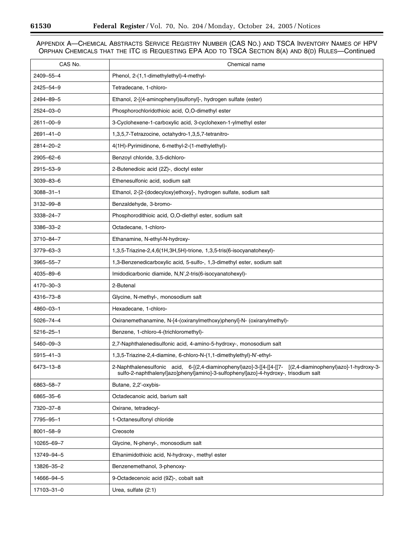-

۰

| CAS No.         | Chemical name                                                                                                                                                                                   |
|-----------------|-------------------------------------------------------------------------------------------------------------------------------------------------------------------------------------------------|
| 2409-55-4       | Phenol, 2-(1,1-dimethylethyl)-4-methyl-                                                                                                                                                         |
| 2425-54-9       | Tetradecane, 1-chloro-                                                                                                                                                                          |
| 2494-89-5       | Ethanol, 2-[(4-aminophenyl)sulfonyl]-, hydrogen sulfate (ester)                                                                                                                                 |
| 2524-03-0       | Phosphorochloridothioic acid, O,O-dimethyl ester                                                                                                                                                |
| $2611 - 00 - 9$ | 3-Cyclohexene-1-carboxylic acid, 3-cyclohexen-1-ylmethyl ester                                                                                                                                  |
| $2691 - 41 - 0$ | 1,3,5,7-Tetrazocine, octahydro-1,3,5,7-tetranitro-                                                                                                                                              |
| 2814-20-2       | 4(1H)-Pyrimidinone, 6-methyl-2-(1-methylethyl)-                                                                                                                                                 |
| 2905-62-6       | Benzoyl chloride, 3,5-dichloro-                                                                                                                                                                 |
| 2915-53-9       | 2-Butenedioic acid (2Z)-, dioctyl ester                                                                                                                                                         |
| $3039 - 83 - 6$ | Ethenesulfonic acid, sodium salt                                                                                                                                                                |
| $3088 - 31 - 1$ | Ethanol, 2-[2-(dodecyloxy)ethoxy]-, hydrogen sulfate, sodium salt                                                                                                                               |
| 3132-99-8       | Benzaldehyde, 3-bromo-                                                                                                                                                                          |
| 3338-24-7       | Phosphorodithioic acid, O,O-diethyl ester, sodium salt                                                                                                                                          |
| 3386-33-2       | Octadecane, 1-chloro-                                                                                                                                                                           |
| 3710-84-7       | Ethanamine, N-ethyl-N-hydroxy-                                                                                                                                                                  |
| 3779-63-3       | 1,3,5-Triazine-2,4,6(1H,3H,5H)-trione, 1,3,5-tris(6-isocyanatohexyl)-                                                                                                                           |
| 3965-55-7       | 1,3-Benzenedicarboxylic acid, 5-sulfo-, 1,3-dimethyl ester, sodium salt                                                                                                                         |
| 4035-89-6       | Imidodicarbonic diamide, N,N',2-tris(6-isocyanatohexyl)-                                                                                                                                        |
| 4170-30-3       | 2-Butenal                                                                                                                                                                                       |
| 4316-73-8       | Glycine, N-methyl-, monosodium salt                                                                                                                                                             |
| 4860-03-1       | Hexadecane, 1-chloro-                                                                                                                                                                           |
| $5026 - 74 - 4$ | Oxiranemethanamine, N-[4-(oxiranylmethoxy)phenyl]-N- (oxiranylmethyl)-                                                                                                                          |
| $5216 - 25 - 1$ | Benzene, 1-chloro-4-(trichloromethyl)-                                                                                                                                                          |
| 5460-09-3       | 2,7-Naphthalenedisulfonic acid, 4-amino-5-hydroxy-, monosodium salt                                                                                                                             |
| $5915 - 41 - 3$ | 1,3,5-Triazine-2,4-diamine, 6-chloro-N-(1,1-dimethylethyl)-N'-ethyl-                                                                                                                            |
| 6473-13-8       | 2-Naphthalenesulfonic acid, 6-[(2,4-diaminophenyl)azo]-3-[[4-[[7- [(2,4-diaminophenyl)azo]-1-hydroxy-3-<br>sulfo-2-naphthalenyl]azo]phenyl]amino]-3-sulfophenyl]azo]-4-hydroxy-, trisodium salt |
| 6863-58-7       | Butane, 2,2'-oxybis-                                                                                                                                                                            |
| 6865-35-6       | Octadecanoic acid, barium salt                                                                                                                                                                  |
| 7320-37-8       | Oxirane, tetradecyl-                                                                                                                                                                            |
| 7795-95-1       | 1-Octanesulfonyl chloride                                                                                                                                                                       |
| 8001-58-9       | Creosote                                                                                                                                                                                        |
| 10265-69-7      | Glycine, N-phenyl-, monosodium salt                                                                                                                                                             |
| 13749-94-5      | Ethanimidothioic acid, N-hydroxy-, methyl ester                                                                                                                                                 |
| 13826-35-2      | Benzenemethanol, 3-phenoxy-                                                                                                                                                                     |
| 14666-94-5      | 9-Octadecenoic acid (9Z)-, cobalt salt                                                                                                                                                          |
| 17103-31-0      | Urea, sulfate (2:1)                                                                                                                                                                             |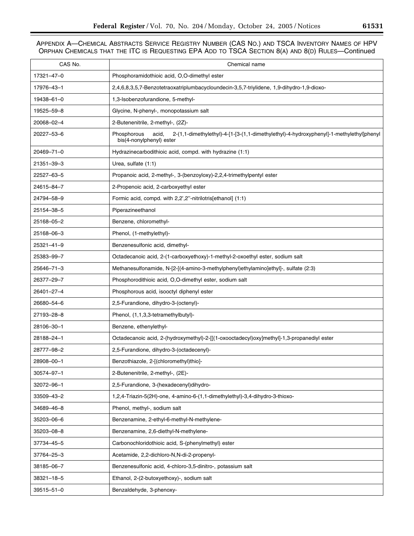| CAS No.          | Chemical name                                                                                                                               |
|------------------|---------------------------------------------------------------------------------------------------------------------------------------------|
| 17321-47-0       | Phosphoramidothioic acid, O,O-dimethyl ester                                                                                                |
| 17976-43-1       | 2,4,6,8,3,5,7-Benzotetraoxatriplumbacycloundecin-3,5,7-triylidene, 1,9-dihydro-1,9-dioxo-                                                   |
| 19438-61-0       | 1,3-Isobenzofurandione, 5-methyl-                                                                                                           |
| 19525–59–8       | Glycine, N-phenyl-, monopotassium salt                                                                                                      |
| 20068-02-4       | 2-Butenenitrile, 2-methyl-, (2Z)-                                                                                                           |
| 20227-53-6       | 2-(1,1-dimethylethyl)-4-[1-[3-(1,1-dimethylethyl)-4-hydroxyphenyl]-1-methylethyl]phenyl<br>Phosphorous<br>acid,<br>bis(4-nonylphenyl) ester |
| 20469-71-0       | Hydrazinecarbodithioic acid, compd. with hydrazine (1:1)                                                                                    |
| 21351-39-3       | Urea, sulfate (1:1)                                                                                                                         |
| 22527-63-5       | Propanoic acid, 2-methyl-, 3-(benzoyloxy)-2,2,4-trimethylpentyl ester                                                                       |
| 24615-84-7       | 2-Propenoic acid, 2-carboxyethyl ester                                                                                                      |
| 24794–58–9       | Formic acid, compd. with 2,2',2"-nitrilotris[ethanol] (1:1)                                                                                 |
| 25154-38-5       | Piperazineethanol                                                                                                                           |
| 25168-05-2       | Benzene, chloromethyl-                                                                                                                      |
| 25168-06-3       | Phenol, (1-methylethyl)-                                                                                                                    |
| 25321-41-9       | Benzenesulfonic acid, dimethyl-                                                                                                             |
| 25383-99-7       | Octadecanoic acid, 2-(1-carboxyethoxy)-1-methyl-2-oxoethyl ester, sodium salt                                                               |
| 25646-71-3       | Methanesulfonamide, N-[2-[(4-amino-3-methylphenyl)ethylamino]ethyl]-, sulfate (2:3)                                                         |
| 26377-29-7       | Phosphorodithioic acid, O,O-dimethyl ester, sodium salt                                                                                     |
| 26401-27-4       | Phosphorous acid, isooctyl diphenyl ester                                                                                                   |
| 26680-54-6       | 2,5-Furandione, dihydro-3-(octenyl)-                                                                                                        |
| 27193-28-8       | Phenol, (1,1,3,3-tetramethylbutyl)-                                                                                                         |
| 28106-30-1       | Benzene, ethenylethyl-                                                                                                                      |
| 28188–24–1       | Octadecanoic acid, 2-(hydroxymethyl)-2-[[(1-oxooctadecyl)oxy]methyl]-1,3-propanediyl ester                                                  |
| 28777-98-2       | 2,5-Furandione, dihydro-3-(octadecenyl)-                                                                                                    |
| 28908-00-1       | Benzothiazole, 2-[(chloromethyl)thio]-                                                                                                      |
| $30574 - 97 - 1$ | 2-Butenenitrile, 2-methyl-, (2E)-                                                                                                           |
| 32072-96-1       | 2,5-Furandione, 3-(hexadecenyl)dihydro-                                                                                                     |
| 33509-43-2       | 1,2,4-Triazin-5(2H)-one, 4-amino-6-(1,1-dimethylethyl)-3,4-dihydro-3-thioxo-                                                                |
| 34689-46-8       | Phenol, methyl-, sodium salt                                                                                                                |
| 35203-06-6       | Benzenamine, 2-ethyl-6-methyl-N-methylene-                                                                                                  |
| 35203-08-8       | Benzenamine, 2,6-diethyl-N-methylene-                                                                                                       |
| 37734-45-5       | Carbonochloridothioic acid, S-(phenylmethyl) ester                                                                                          |
| 37764-25-3       | Acetamide, 2,2-dichloro-N,N-di-2-propenyl-                                                                                                  |
| 38185-06-7       | Benzenesulfonic acid, 4-chloro-3,5-dinitro-, potassium salt                                                                                 |
| $38321 - 18 - 5$ | Ethanol, 2-(2-butoxyethoxy)-, sodium salt                                                                                                   |
| 39515-51-0       | Benzaldehyde, 3-phenoxy-                                                                                                                    |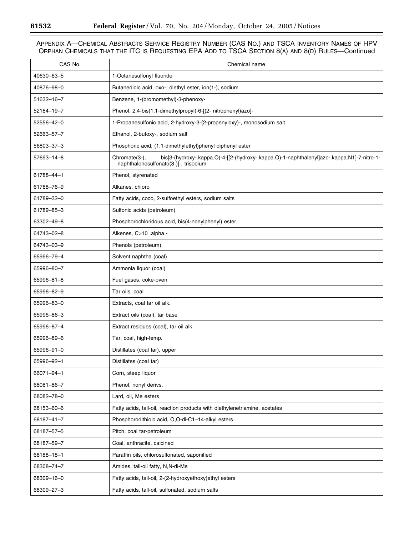-

۰

| CAS No.    | Chemical name                                                                                                                                        |
|------------|------------------------------------------------------------------------------------------------------------------------------------------------------|
| 40630-63-5 | 1-Octanesulfonyl fluoride                                                                                                                            |
| 40876-98-0 | Butanedioic acid, oxo-, diethyl ester, ion(1-), sodium                                                                                               |
| 51632-16-7 | Benzene, 1-(bromomethyl)-3-phenoxy-                                                                                                                  |
| 52184-19-7 | Phenol, 2,4-bis(1,1-dimethylpropyl)-6-[(2- nitrophenyl)azo]-                                                                                         |
| 52556-42-0 | 1-Propanesulfonic acid, 2-hydroxy-3-(2-propenyloxy)-, monosodium salt                                                                                |
| 52663-57-7 | Ethanol, 2-butoxy-, sodium salt                                                                                                                      |
| 56803-37-3 | Phosphoric acid, (1,1-dimethylethyl)phenyl diphenyl ester                                                                                            |
| 57693-14-8 | Chromate(3-),<br>bis[3-(hydroxy-.kappa.O)-4-[[2-(hydroxy-.kappa.O)-1-naphthalenyl]azo-.kappa.N1]-7-nitro-1-<br>naphthalenesulfonato(3-)]-, trisodium |
| 61788-44-1 | Phenol, styrenated                                                                                                                                   |
| 61788-76-9 | Alkanes, chloro                                                                                                                                      |
| 61789-32-0 | Fatty acids, coco, 2-sulfoethyl esters, sodium salts                                                                                                 |
| 61789-85-3 | Sulfonic acids (petroleum)                                                                                                                           |
| 63302-49-8 | Phosphorochloridous acid, bis(4-nonylphenyl) ester                                                                                                   |
| 64743-02-8 | Alkenes, C>10 .alpha.-                                                                                                                               |
| 64743-03-9 | Phenols (petroleum)                                                                                                                                  |
| 65996-79-4 | Solvent naphtha (coal)                                                                                                                               |
| 65996-80-7 | Ammonia liquor (coal)                                                                                                                                |
| 65996-81-8 | Fuel gases, coke-oven                                                                                                                                |
| 65996-82-9 | Tar oils, coal                                                                                                                                       |
| 65996-83-0 | Extracts, coal tar oil alk.                                                                                                                          |
| 65996-86-3 | Extract oils (coal), tar base                                                                                                                        |
| 65996-87-4 | Extract residues (coal), tar oil alk.                                                                                                                |
| 65996-89-6 | Tar, coal, high-temp.                                                                                                                                |
| 65996-91-0 | Distillates (coal tar), upper                                                                                                                        |
| 65996-92-1 | Distillates (coal tar)                                                                                                                               |
| 66071-94-1 | Corn, steep liquor                                                                                                                                   |
| 68081-86-7 | Phenol, nonyl derivs.                                                                                                                                |
| 68082-78-0 | Lard, oil, Me esters                                                                                                                                 |
| 68153-60-6 | Fatty acids, tall-oil, reaction products with diethylenetriamine, acetates                                                                           |
| 68187-41-7 | Phosphorodithioic acid, O,O-di-C1-14-alkyl esters                                                                                                    |
| 68187-57-5 | Pitch, coal tar-petroleum                                                                                                                            |
| 68187-59-7 | Coal, anthracite, calcined                                                                                                                           |
| 68188-18-1 | Paraffin oils, chlorosulfonated, saponified                                                                                                          |
| 68308-74-7 | Amides, tall-oil fatty, N,N-di-Me                                                                                                                    |
| 68309-16-0 | Fatty acids, tall-oil, 2-(2-hydroxyethoxy)ethyl esters                                                                                               |
| 68309-27-3 | Fatty acids, tall-oil, sulfonated, sodium salts                                                                                                      |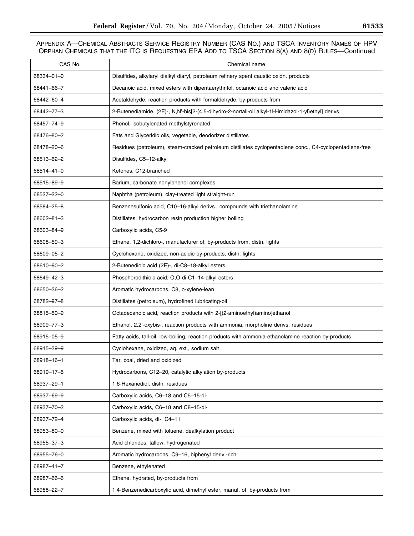| CAS No.    | Chemical name                                                                                            |
|------------|----------------------------------------------------------------------------------------------------------|
| 68334-01-0 | Disulfides, alkylaryl dialkyl diaryl, petroleum refinery spent caustic oxidn. products                   |
| 68441-66-7 | Decanoic acid, mixed esters with dipentaerythritol, octanoic acid and valeric acid                       |
| 68442-60-4 | Acetaldehyde, reaction products with formaldehyde, by-products from                                      |
| 68442–77–3 | 2-Butenediamide, (2E)-, N,N'-bis[2-(4,5-dihydro-2-nortall-oil alkyl-1H-imidazol-1-yl)ethyl] derivs.      |
| 68457-74-9 | Phenol, isobutylenated methylstyrenated                                                                  |
| 68476-80-2 | Fats and Glyceridic oils, vegetable, deodorizer distillates                                              |
| 68478-20-6 | Residues (petroleum), steam-cracked petroleum distillates cyclopentadiene conc., C4-cyclopentadiene-free |
| 68513-62-2 | Disulfides, C5-12-alkyl                                                                                  |
| 68514-41-0 | Ketones, C12-branched                                                                                    |
| 68515-89-9 | Barium, carbonate nonylphenol complexes                                                                  |
| 68527-22-0 | Naphtha (petroleum), clay-treated light straight-run                                                     |
| 68584-25-8 | Benzenesulfonic acid, C10-16-alkyl derivs., compounds with triethanolamine                               |
| 68602-81-3 | Distillates, hydrocarbon resin production higher boiling                                                 |
| 68603-84-9 | Carboxylic acids, C5-9                                                                                   |
| 68608-59-3 | Ethane, 1,2-dichloro-, manufacturer of, by-products from, distn. lights                                  |
| 68609-05-2 | Cyclohexane, oxidized, non-acidic by-products, distn. lights                                             |
| 68610-90-2 | 2-Butenedioic acid (2E)-, di-C8-18-alkyl esters                                                          |
| 68649-42-3 | Phosphorodithioic acid, O,O-di-C1-14-alkyl esters                                                        |
| 68650-36-2 | Aromatic hydrocarbons, C8, o-xylene-lean                                                                 |
| 68782-97-8 | Distillates (petroleum), hydrofined lubricating-oil                                                      |
| 68815-50-9 | Octadecanoic acid, reaction products with 2-[(2-aminoethyl)amino]ethanol                                 |
| 68909-77-3 | Ethanol, 2,2'-oxybis-, reaction products with ammonia, morpholine derivs. residues                       |
| 68915-05-9 | Fatty acids, tall-oil, low-boiling, reaction products with ammonia-ethanolamine reaction by-products     |
| 68915-39-9 | Cyclohexane, oxidized, aq. ext., sodium salt                                                             |
| 68918-16-1 | Tar, coal, dried and oxidized                                                                            |
| 68919-17-5 | Hydrocarbons, C12–20, catalytic alkylation by-products                                                   |
| 68937-29-1 | 1,6-Hexanediol, distn. residues                                                                          |
| 68937-69-9 | Carboxylic acids, C6-18 and C5-15-di-                                                                    |
| 68937-70-2 | Carboxylic acids, C6-18 and C8-15-di-                                                                    |
| 68937-72-4 | Carboxylic acids, di-, C4-11                                                                             |
| 68953-80-0 | Benzene, mixed with toluene, dealkylation product                                                        |
| 68955-37-3 | Acid chlorides, tallow, hydrogenated                                                                     |
| 68955-76-0 | Aromatic hydrocarbons, C9-16, biphenyl deriv.-rich                                                       |
| 68987-41-7 | Benzene, ethylenated                                                                                     |
| 68987-66-6 | Ethene, hydrated, by-products from                                                                       |
| 68988-22-7 | 1,4-Benzenedicarboxylic acid, dimethyl ester, manuf. of, by-products from                                |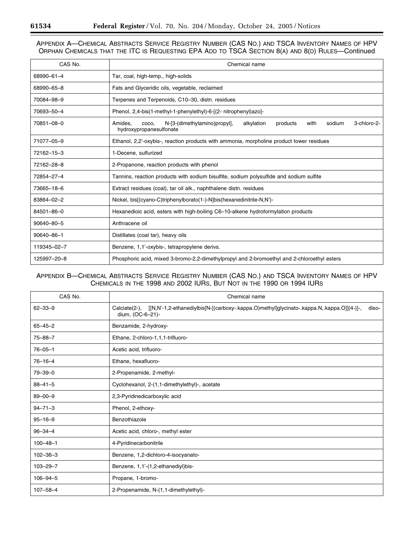# APPENDIX A—CHEMICAL ABSTRACTS SERVICE REGISTRY NUMBER (CAS NO.) AND TSCA INVENTORY NAMES OF HPV ORPHAN CHEMICALS THAT THE ITC IS REQUESTING EPA ADD TO TSCA SECTION 8(A) AND 8(D) RULES—Continued

| CAS No.          | Chemical name                                                                                                                          |
|------------------|----------------------------------------------------------------------------------------------------------------------------------------|
| 68990-61-4       | Tar, coal, high-temp., high-solids                                                                                                     |
| 68990-65-8       | Fats and Glyceridic oils, vegetable, reclaimed                                                                                         |
| 70084-98-9       | Terpenes and Terpenoids, C10-30, distn. residues                                                                                       |
| 70693-50-4       | Phenol, 2,4-bis(1-methyl-1-phenylethyl)-6-[(2- nitrophenyl)azo]-                                                                       |
| 70851-08-0       | N-[3-(dimethylamino)propyl],<br>sodium<br>3-chloro-2-<br>Amides.<br>alkylation<br>products<br>with<br>coco.<br>hydroxypropanesulfonate |
| 71077-05-9       | Ethanol, 2,2'-oxybis-, reaction products with ammonia, morpholine product tower residues                                               |
| 72162-15-3       | 1-Decene, sulfurized                                                                                                                   |
| 72162-28-8       | 2-Propanone, reaction products with phenol                                                                                             |
| 72854-27-4       | Tannins, reaction products with sodium bisulfite, sodium polysulfide and sodium sulfite                                                |
| 73665-18-6       | Extract residues (coal), tar oil alk., naphthalene distn. residues                                                                     |
| 83864-02-2       | Nickel, bis[(cyano-C)triphenylborato(1-)-N]bis(hexanedinitrile-N,N')-                                                                  |
| 84501-86-0       | Hexanedioic acid, esters with high-boiling C6-10-alkene hydroformylation products                                                      |
| 90640-80-5       | Anthracene oil                                                                                                                         |
| $90640 - 86 - 1$ | Distillates (coal tar), heavy oils                                                                                                     |
| 119345-02-7      | Benzene, 1,1'-oxybis-, tetrapropylene derivs.                                                                                          |
| 125997-20-8      | Phosphoric acid, mixed 3-bromo-2,2-dimethylpropyl and 2-bromoethyl and 2-chloroethyl esters                                            |

| CAS No.        | Chemical name                                                                                                                        |
|----------------|--------------------------------------------------------------------------------------------------------------------------------------|
| $62 - 33 - 9$  | Calciate(2-), [[N,N'-1,2-ethanediylbis[N-[(carboxy-.kappa.O)methyl]glycinato-.kappa.N,.kappa.O]](4-)]-,<br>diso-<br>dium, (OC-6-21)- |
| $65 - 45 - 2$  | Benzamide, 2-hydroxy-                                                                                                                |
| $75 - 88 - 7$  | Ethane, 2-chloro-1,1,1-trifluoro-                                                                                                    |
| $76 - 05 - 1$  | Acetic acid, trifluoro-                                                                                                              |
| $76 - 16 - 4$  | Ethane, hexafluoro-                                                                                                                  |
| $79 - 39 - 0$  | 2-Propenamide, 2-methyl-                                                                                                             |
| $88 - 41 - 5$  | Cyclohexanol, 2-(1,1-dimethylethyl)-, acetate                                                                                        |
| $89 - 00 - 9$  | 2,3-Pyridinedicarboxylic acid                                                                                                        |
| $94 - 71 - 3$  | Phenol, 2-ethoxy-                                                                                                                    |
| $95 - 16 - 9$  | Benzothiazole                                                                                                                        |
| $96 - 34 - 4$  | Acetic acid, chloro-, methyl ester                                                                                                   |
| $100 - 48 - 1$ | 4-Pyridinecarbonitrile                                                                                                               |
| $102 - 36 - 3$ | Benzene, 1,2-dichloro-4-isocyanato-                                                                                                  |
| $103 - 29 - 7$ | Benzene, 1,1'-(1,2-ethanediyl)bis-                                                                                                   |
| $106 - 94 - 5$ | Propane, 1-bromo-                                                                                                                    |
| $107 - 58 - 4$ | 2-Propenamide, N-(1,1-dimethylethyl)-                                                                                                |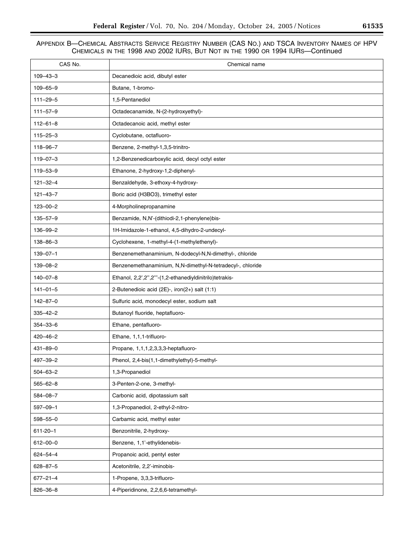| CAS No.        | Chemical name                                              |
|----------------|------------------------------------------------------------|
| $109 - 43 - 3$ | Decanedioic acid, dibutyl ester                            |
| $109 - 65 - 9$ | Butane, 1-bromo-                                           |
| $111 - 29 - 5$ | 1,5-Pentanediol                                            |
| $111 - 57 - 9$ | Octadecanamide, N-(2-hydroxyethyl)-                        |
| $112 - 61 - 8$ | Octadecanoic acid, methyl ester                            |
| $115 - 25 - 3$ | Cyclobutane, octafluoro-                                   |
| 118-96-7       | Benzene, 2-methyl-1,3,5-trinitro-                          |
| $119 - 07 - 3$ | 1,2-Benzenedicarboxylic acid, decyl octyl ester            |
| $119 - 53 - 9$ | Ethanone, 2-hydroxy-1,2-diphenyl-                          |
| $121 - 32 - 4$ | Benzaldehyde, 3-ethoxy-4-hydroxy-                          |
| $121 - 43 - 7$ | Boric acid (H3BO3), trimethyl ester                        |
| $123 - 00 - 2$ | 4-Morpholinepropanamine                                    |
| $135 - 57 - 9$ | Benzamide, N,N'-(dithiodi-2,1-phenylene)bis-               |
| $136 - 99 - 2$ | 1H-Imidazole-1-ethanol, 4,5-dihydro-2-undecyl-             |
| $138 - 86 - 3$ | Cyclohexene, 1-methyl-4-(1-methylethenyl)-                 |
| $139 - 07 - 1$ | Benzenemethanaminium, N-dodecyl-N,N-dimethyl-, chloride    |
| $139 - 08 - 2$ | Benzenemethanaminium, N,N-dimethyl-N-tetradecyl-, chloride |
| $140 - 07 - 8$ | Ethanol, 2,2',2",2"'-(1,2-ethanediyldinitrilo)tetrakis-    |
| $141 - 01 - 5$ | 2-Butenedioic acid (2E)-, iron(2+) salt (1:1)              |
| $142 - 87 - 0$ | Sulfuric acid, monodecyl ester, sodium salt                |
| $335 - 42 - 2$ | Butanoyl fluoride, heptafluoro-                            |
| $354 - 33 - 6$ | Ethane, pentafluoro-                                       |
| $420 - 46 - 2$ | Ethane, 1,1,1-trifluoro-                                   |
| $431 - 89 - 0$ | Propane, 1,1,1,2,3,3,3-heptafluoro-                        |
| 497-39-2       | Phenol, 2,4-bis(1,1-dimethylethyl)-5-methyl-               |
| $504 - 63 - 2$ | 1,3-Propanediol                                            |
| $565 - 62 - 8$ | 3-Penten-2-one, 3-methyl-                                  |
| 584-08-7       | Carbonic acid, dipotassium salt                            |
| $597 - 09 - 1$ | 1,3-Propanediol, 2-ethyl-2-nitro-                          |
| 598-55-0       | Carbamic acid, methyl ester                                |
| $611 - 20 - 1$ | Benzonitrile, 2-hydroxy-                                   |
| $612 - 00 - 0$ | Benzene, 1,1'-ethylidenebis-                               |
| $624 - 54 - 4$ | Propanoic acid, pentyl ester                               |
| $628 - 87 - 5$ | Acetonitrile, 2,2'-iminobis-                               |
| $677 - 21 - 4$ | 1-Propene, 3,3,3-trifluoro-                                |
| 826-36-8       | 4-Piperidinone, 2,2,6,6-tetramethyl-                       |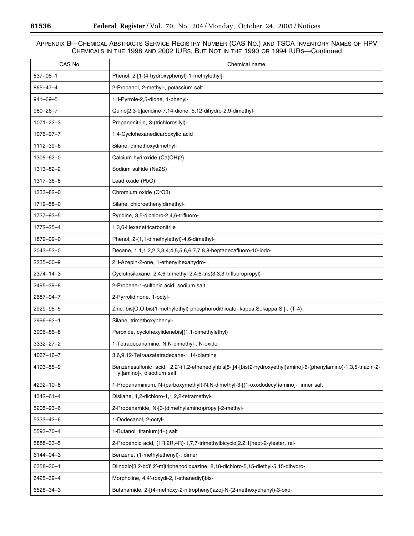$\equiv$ 

۰

| CAS No.         | Chemical name                                                                                                                                 |
|-----------------|-----------------------------------------------------------------------------------------------------------------------------------------------|
| $837 - 08 - 1$  | Phenol, 2-[1-(4-hydroxyphenyl)-1-methylethyl]-                                                                                                |
| $865 - 47 - 4$  | 2-Propanol, 2-methyl-, potassium salt                                                                                                         |
| $941 - 69 - 5$  | 1H-Pyrrole-2,5-dione, 1-phenyl-                                                                                                               |
| $980 - 26 - 7$  | Quino[2,3-b]acridine-7,14-dione, 5,12-dihydro-2,9-dimethyl-                                                                                   |
| $1071 - 22 - 3$ | Propanenitrile, 3-(trichlorosilyl)-                                                                                                           |
| 1076-97-7       | 1,4-Cyclohexanedicarboxylic acid                                                                                                              |
| 1112-39-6       | Silane, dimethoxydimethyl-                                                                                                                    |
| $1305 - 62 - 0$ | Calcium hydroxide (Ca(OH)2)                                                                                                                   |
| 1313-82-2       | Sodium sulfide (Na2S)                                                                                                                         |
| 1317-36-8       | Lead oxide (PbO)                                                                                                                              |
| 1333-82-0       | Chromium oxide (CrO3)                                                                                                                         |
| 1719-58-0       | Silane, chloroethenyldimethyl-                                                                                                                |
| 1737-93-5       | Pyridine, 3,5-dichloro-2,4,6-trifluoro-                                                                                                       |
| 1772-25-4       | 1,3,6-Hexanetricarbonitrile                                                                                                                   |
| 1879-09-0       | Phenol, 2-(1,1-dimethylethyl)-4,6-dimethyl-                                                                                                   |
| 2043-53-0       | Decane, 1,1,1,2,2,3,3,4,4,5,5,6,6,7,7,8,8-heptadecafluoro-10-iodo-                                                                            |
| 2235-00-9       | 2H-Azepin-2-one, 1-ethenylhexahydro-                                                                                                          |
| $2374 - 14 - 3$ | Cyclotrisiloxane, 2,4,6-trimethyl-2,4,6-tris(3,3,3-trifluoropropyl)-                                                                          |
| 2495-39-8       | 2-Propene-1-sulfonic acid, sodium salt                                                                                                        |
| 2687-94-7       | 2-Pyrrolidinone, 1-octyl-                                                                                                                     |
| 2929-95-5       | Zinc, bis[O,O-bis(1-methylethyl) phosphorodithioato-.kappa.S,.kappa.S']-, (T-4)-                                                              |
| 2996-92-1       | Silane, trimethoxyphenyl-                                                                                                                     |
| $3006 - 86 - 8$ | Peroxide, cyclohexylidenebis[(1,1-dimethylethyl)                                                                                              |
| $3332 - 27 - 2$ | 1-Tetradecanamine, N,N-dimethyl-, N-oxide                                                                                                     |
| $4067 - 16 - 7$ | 3,6,9,12-Tetraazatetradecane-1,14-diamine                                                                                                     |
| 4193-55-9       | Benzenesulfonic acid, 2,2'-(1,2-ethenediyl)bis[5-[[4-[bis(2-hydroxyethyl)amino]-6-(phenylamino)-1,3,5-triazin-2-<br>yl]amino]-, disodium salt |
| 4292-10-8       | 1-Propanaminium, N-(carboxymethyl)-N,N-dimethyl-3-[(1-oxododecyl)amino]-, inner salt                                                          |
| $4342 - 61 - 4$ | Disilane, 1,2-dichloro-1,1,2,2-tetramethyl-                                                                                                   |
| $5205 - 93 - 6$ | 2-Propenamide, N-[3-(dimethylamino)propyl]-2-methyl-                                                                                          |
| $5333 - 42 - 6$ | 1-Dodecanol, 2-octyl-                                                                                                                         |
| 5593-70-4       | 1-Butanol, titanium(4+) salt                                                                                                                  |
| 5888-33-5       | 2-Propenoic acid, (1R,2R,4R)-1,7,7-trimethylbicyclo[2.2.1]hept-2-ylester, rel-                                                                |
| $6144 - 04 - 3$ | Benzene, (1-methylethenyl)-, dimer                                                                                                            |
| 6358-30-1       | Diindolo[3,2-b:3',2'-m]triphenodioxazine, 8,18-dichloro-5,15-diethyl-5,15-dihydro-                                                            |
| 6425-39-4       | Morpholine, 4,4'-(oxydi-2,1-ethanediyl)bis-                                                                                                   |
| 6528-34-3       | Butanamide, 2-[(4-methoxy-2-nitrophenyl)azo]-N-(2-methoxyphenyl)-3-oxo-                                                                       |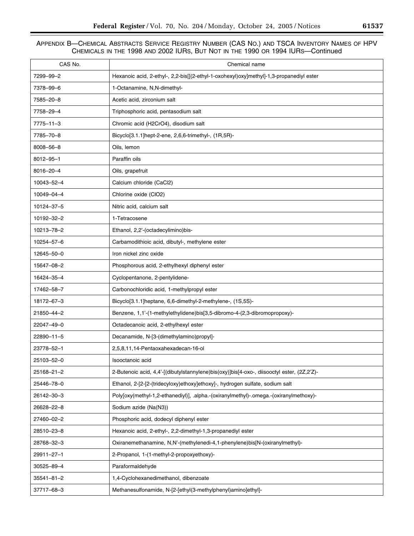| CAS No.          | Chemical name                                                                              |
|------------------|--------------------------------------------------------------------------------------------|
| 7299-99-2        | Hexanoic acid, 2-ethyl-, 2,2-bis[[(2-ethyl-1-oxohexyl)oxy]methyl]-1,3-propanediyl ester    |
| 7378-99-6        | 1-Octanamine, N,N-dimethyl-                                                                |
| 7585-20-8        | Acetic acid, zirconium salt                                                                |
| 7758-29-4        | Triphosphoric acid, pentasodium salt                                                       |
| 7775-11-3        | Chromic acid (H2CrO4), disodium salt                                                       |
| 7785-70-8        | Bicyclo[3.1.1]hept-2-ene, 2,6,6-trimethyl-, (1R,5R)-                                       |
| 8008-56-8        | Oils, lemon                                                                                |
| 8012-95-1        | Paraffin oils                                                                              |
| 8016-20-4        | Oils, grapefruit                                                                           |
| 10043-52-4       | Calcium chloride (CaCl2)                                                                   |
| 10049-04-4       | Chlorine oxide (CIO2)                                                                      |
| 10124-37-5       | Nitric acid, calcium salt                                                                  |
| 10192-32-2       | 1-Tetracosene                                                                              |
| 10213-78-2       | Ethanol, 2,2'-(octadecylimino)bis-                                                         |
| 10254-57-6       | Carbamodithioic acid, dibutyl-, methylene ester                                            |
| 12645-50-0       | Iron nickel zinc oxide                                                                     |
| 15647-08-2       | Phosphorous acid, 2-ethylhexyl diphenyl ester                                              |
| 16424-35-4       | Cyclopentanone, 2-pentylidene-                                                             |
| 17462-58-7       | Carbonochloridic acid, 1-methylpropyl ester                                                |
| 18172-67-3       | Bicyclo[3.1.1]heptane, 6,6-dimethyl-2-methylene-, (1S,5S)-                                 |
| 21850-44-2       | Benzene, 1,1'-(1-methylethylidene)bis[3,5-dibromo-4-(2,3-dibromopropoxy)-                  |
| 22047-49-0       | Octadecanoic acid, 2-ethylhexyl ester                                                      |
| 22890-11-5       | Decanamide, N-[3-(dimethylamino)propyl]-                                                   |
| 23778-52-1       | 2,5,8,11,14-Pentaoxahexadecan-16-ol                                                        |
| 25103-52-0       | Isooctanoic acid                                                                           |
| 25168-21-2       | 2-Butenoic acid, 4,4'-[(dibutylstannylene)bis(oxy)]bis[4-oxo-, diisooctyl ester, (2Z,2'Z)- |
| 25446-78-0       | Ethanol, 2-[2-[2-(tridecyloxy)ethoxy]ethoxy]-, hydrogen sulfate, sodium salt               |
| 26142-30-3       | Poly[oxy(methyl-1,2-ethanediyl)], .alpha.-(oxiranylmethyl)-.omega.-(oxiranylmethoxy)-      |
| 26628-22-8       | Sodium azide (Na(N3))                                                                      |
| 27460-02-2       | Phosphoric acid, dodecyl diphenyl ester                                                    |
| 28510-23-8       | Hexanoic acid, 2-ethyl-, 2,2-dimethyl-1,3-propanediyl ester                                |
| 28768-32-3       | Oxiranemethanamine, N,N'-(methylenedi-4,1-phenylene)bis[N-(oxiranylmethyl)-                |
| 29911-27-1       | 2-Propanol, 1-(1-methyl-2-propoxyethoxy)-                                                  |
| 30525-89-4       | Paraformaldehyde                                                                           |
| $35541 - 81 - 2$ | 1,4-Cyclohexanedimethanol, dibenzoate                                                      |
| 37717-68-3       | Methanesulfonamide, N-[2-[ethyl(3-methylphenyl)amino]ethyl]-                               |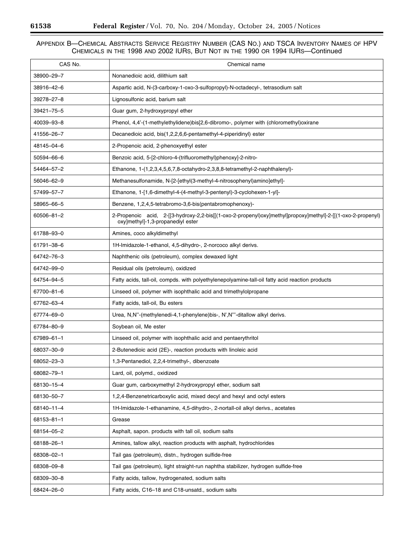$\equiv$ 

۰

| CAS No.          | Chemical name                                                                                                                                     |
|------------------|---------------------------------------------------------------------------------------------------------------------------------------------------|
| 38900-29-7       | Nonanedioic acid, dilithium salt                                                                                                                  |
| 38916-42-6       | Aspartic acid, N-(3-carboxy-1-oxo-3-sulfopropyl)-N-octadecyl-, tetrasodium salt                                                                   |
| 39278-27-8       | Lignosulfonic acid, barium salt                                                                                                                   |
| 39421-75-5       | Guar gum, 2-hydroxypropyl ether                                                                                                                   |
| 40039-93-8       | Phenol, 4,4'-(1-methylethylidene)bis[2,6-dibromo-, polymer with (chloromethyl)oxirane                                                             |
| 41556-26-7       | Decanedioic acid, bis(1,2,2,6,6-pentamethyl-4-piperidinyl) ester                                                                                  |
| 48145-04-6       | 2-Propenoic acid, 2-phenoxyethyl ester                                                                                                            |
| 50594-66-6       | Benzoic acid, 5-[2-chloro-4-(trifluoromethyl)phenoxy]-2-nitro-                                                                                    |
| 54464-57-2       | Ethanone, 1-(1,2,3,4,5,6,7,8-octahydro-2,3,8,8-tetramethyl-2-naphthalenyl)-                                                                       |
| 56046-62-9       | Methanesulfonamide, N-[2-[ethyl(3-methyl-4-nitrosophenyl)amino]ethyl]-                                                                            |
| 57499-57-7       | Ethanone, 1-[1,6-dimethyl-4-(4-methyl-3-pentenyl)-3-cyclohexen-1-yl]-                                                                             |
| 58965-66-5       | Benzene, 1,2,4,5-tetrabromo-3,6-bis(pentabromophenoxy)-                                                                                           |
| 60506-81-2       | 2-Propenoic acid, 2-[[3-hydroxy-2,2-bis[[(1-oxo-2-propenyl)oxy]methyl]propoxy]methyl]-2-[[(1-oxo-2-propenyl)<br>oxy]methyl]-1,3-propanediyl ester |
| 61788-93-0       | Amines, coco alkyldimethyl                                                                                                                        |
| 61791-38-6       | 1H-Imidazole-1-ethanol, 4,5-dihydro-, 2-norcoco alkyl derivs.                                                                                     |
| 64742–76–3       | Naphthenic oils (petroleum), complex dewaxed light                                                                                                |
| 64742–99–0       | Residual oils (petroleum), oxidized                                                                                                               |
| 64754-94-5       | Fatty acids, tall-oil, compds. with polyethylenepolyamine-tall-oil fatty acid reaction products                                                   |
| 67700-81-6       | Linseed oil, polymer with isophthalic acid and trimethylolpropane                                                                                 |
| 67762-63-4       | Fatty acids, tall-oil, Bu esters                                                                                                                  |
| 67774–69–0       | Urea, N,N"-(methylenedi-4,1-phenylene)bis-, N',N"'-ditallow alkyl derivs.                                                                         |
| 67784-80-9       | Soybean oil, Me ester                                                                                                                             |
| 67989-61-1       | Linseed oil, polymer with isophthalic acid and pentaerythritol                                                                                    |
| 68037-30-9       | 2-Butenedioic acid (2E)-, reaction products with linoleic acid                                                                                    |
| 68052-23-3       | 1,3-Pentanediol, 2,2,4-trimethyl-, dibenzoate                                                                                                     |
| 68082-79-1       | Lard, oil, polymd., oxidized                                                                                                                      |
| 68130-15-4       | Guar gum, carboxymethyl 2-hydroxypropyl ether, sodium salt                                                                                        |
| 68130-50-7       | 1,2,4-Benzenetricarboxylic acid, mixed decyl and hexyl and octyl esters                                                                           |
| 68140-11-4       | 1H-Imidazole-1-ethanamine, 4,5-dihydro-, 2-nortall-oil alkyl derivs., acetates                                                                    |
| $68153 - 81 - 1$ | Grease                                                                                                                                            |
| 68154-05-2       | Asphalt, sapon. products with tall oil, sodium salts                                                                                              |
| 68188-26-1       | Amines, tallow alkyl, reaction products with asphalt, hydrochlorides                                                                              |
| 68308-02-1       | Tail gas (petroleum), distn., hydrogen sulfide-free                                                                                               |
| 68308-09-8       | Tail gas (petroleum), light straight-run naphtha stabilizer, hydrogen sulfide-free                                                                |
| 68309-30-8       | Fatty acids, tallow, hydrogenated, sodium salts                                                                                                   |
| 68424-26-0       | Fatty acids, C16-18 and C18-unsatd., sodium salts                                                                                                 |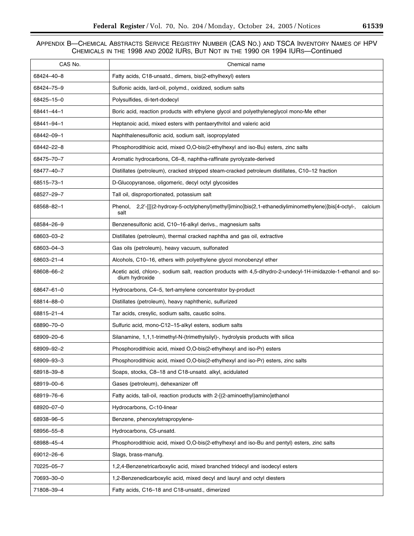| CAS No.    | Chemical name                                                                                                                    |
|------------|----------------------------------------------------------------------------------------------------------------------------------|
| 68424-40-8 | Fatty acids, C18-unsatd., dimers, bis(2-ethylhexyl) esters                                                                       |
| 68424-75-9 | Sulfonic acids, lard-oil, polymd., oxidized, sodium salts                                                                        |
| 68425-15-0 | Polysulfides, di-tert-dodecyl                                                                                                    |
| 68441–44–1 | Boric acid, reaction products with ethylene glycol and polyethyleneglycol mono-Me ether                                          |
| 68441-94-1 | Heptanoic acid, mixed esters with pentaerythritol and valeric acid                                                               |
| 68442-09-1 | Naphthalenesulfonic acid, sodium salt, isopropylated                                                                             |
| 68442-22-8 | Phosphorodithioic acid, mixed O,O-bis(2-ethylhexyl and iso-Bu) esters, zinc salts                                                |
| 68475-70-7 | Aromatic hydrocarbons, C6-8, naphtha-raffinate pyrolyzate-derived                                                                |
| 68477-40-7 | Distillates (petroleum), cracked stripped steam-cracked petroleum distillates, C10-12 fraction                                   |
| 68515-73-1 | D-Glucopyranose, oligomeric, decyl octyl glycosides                                                                              |
| 68527-29-7 | Tall oil, disproportionated, potassium salt                                                                                      |
| 68568-82-1 | 2,2'-[[[(2-hydroxy-5-octylphenyl)methyl]imino]bis(2,1-ethanediyliminomethylene)]bis[4-octyl-,<br>Phenol,<br>calcium<br>salt      |
| 68584-26-9 | Benzenesulfonic acid, C10-16-alkyl derivs., magnesium salts                                                                      |
| 68603-03-2 | Distillates (petroleum), thermal cracked naphtha and gas oil, extractive                                                         |
| 68603-04-3 | Gas oils (petroleum), heavy vacuum, sulfonated                                                                                   |
| 68603-21-4 | Alcohols, C10-16, ethers with polyethylene glycol monobenzyl ether                                                               |
| 68608-66-2 | Acetic acid, chloro-, sodium salt, reaction products with 4,5-dihydro-2-undecyl-1H-imidazole-1-ethanol and so-<br>dium hydroxide |
| 68647-61-0 | Hydrocarbons, C4-5, tert-amylene concentrator by-product                                                                         |
| 68814-88-0 | Distillates (petroleum), heavy naphthenic, sulfurized                                                                            |
| 68815-21-4 | Tar acids, cresylic, sodium salts, caustic solns.                                                                                |
| 68890-70-0 | Sulfuric acid, mono-C12-15-alkyl esters, sodium salts                                                                            |
| 68909-20-6 | Silanamine, 1,1,1-trimethyl-N-(trimethylsilyl)-, hydrolysis products with silica                                                 |
| 68909-92-2 | Phosphorodithioic acid, mixed O,O-bis(2-ethylhexyl and iso-Pr) esters                                                            |
| 68909-93-3 | Phosphorodithioic acid, mixed O,O-bis(2-ethylhexyl and iso-Pr) esters, zinc salts                                                |
| 68918-39-8 | Soaps, stocks, C8–18 and C18-unsatd. alkyl, acidulated                                                                           |
| 68919-00-6 | Gases (petroleum), dehexanizer off                                                                                               |
| 68919-76-6 | Fatty acids, tall-oil, reaction products with 2-[(2-aminoethyl)amino]ethanol                                                     |
| 68920-07-0 | Hydrocarbons, C<10-linear                                                                                                        |
| 68938-96-5 | Benzene, phenoxytetrapropylene-                                                                                                  |
| 68956-55-8 | Hydrocarbons, C5-unsatd.                                                                                                         |
| 68988-45-4 | Phosphorodithioic acid, mixed O,O-bis(2-ethylhexyl and iso-Bu and pentyl) esters, zinc salts                                     |
| 69012-26-6 | Slags, brass-manufg.                                                                                                             |
| 70225-05-7 | 1,2,4-Benzenetricarboxylic acid, mixed branched tridecyl and isodecyl esters                                                     |
| 70693-30-0 | 1,2-Benzenedicarboxylic acid, mixed decyl and lauryl and octyl diesters                                                          |
| 71808-39-4 | Fatty acids, C16-18 and C18-unsatd., dimerized                                                                                   |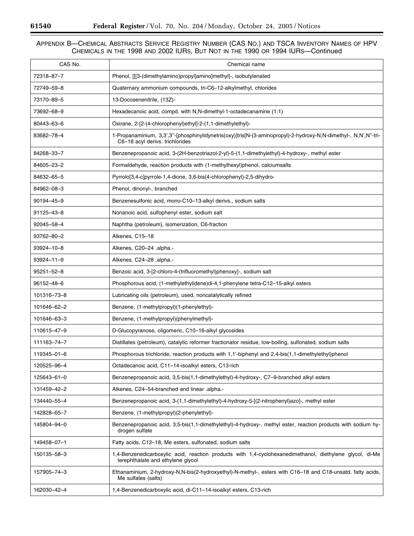$\equiv$ 

۰

| CAS No.          | Chemical name                                                                                                                                      |
|------------------|----------------------------------------------------------------------------------------------------------------------------------------------------|
| 72318-87-7       | Phenol, [[[3-(dimethylamino)propyl]amino]methyl]-, isobutylenated                                                                                  |
| 72749-59-8       | Quaternary ammonium compounds, tri-C6-12-alkylmethyl, chlorides                                                                                    |
| 73170-89-5       | 13-Docosenenitrile, (13Z)-                                                                                                                         |
| 73692-68-9       | Hexadecanoic acid, compd. with N,N-dimethyl-1-octadecanamine (1:1)                                                                                 |
| 80443-63-6       | Oxirane, 2-[2-(4-chlorophenyl)ethyl]-2-(1,1-dimethylethyl)-                                                                                        |
| 83682-78-4       | 1-Propanaminium, 3,3',3"-[phosphinylidynetris(oxy)]tris[N-(3-aminopropyl)-2-hydroxy-N,N-dimethyl-, N,N',N"-tri-<br>C6-18 acyl derivs. trichlorides |
| 84268-33-7       | Benzenepropanoic acid, 3-(2H-benzotriazol-2-yl)-5-(1,1-dimethylethyl)-4-hydroxy-, methyl ester                                                     |
| 84605-23-2       | Formaldehyde, reaction products with (1-methylhexyl)phenol, calciumsalts                                                                           |
| 84632-65-5       | Pyrrolo[3,4-c]pyrrole-1,4-dione, 3,6-bis(4-chlorophenyl)-2,5-dihydro-                                                                              |
| 84962-08-3       | Phenol, dinonyl-, branched                                                                                                                         |
| 90194-45-9       | Benzenesulfonic acid, mono-C10-13-alkyl derivs., sodium salts                                                                                      |
| 91125-43-8       | Nonanoic acid, sulfophenyl ester, sodium salt                                                                                                      |
| 92045-58-4       | Naphtha (petroleum), isomerization, C6-fraction                                                                                                    |
| 93762-80-2       | Alkenes, C15-18                                                                                                                                    |
| 93924-10-8       | Alkenes, C20-24 .alpha.-                                                                                                                           |
| $93924 - 11 - 9$ | Alkenes, C24-28 .alpha.-                                                                                                                           |
| $95251 - 52 - 8$ | Benzoic acid, 3-[2-chloro-4-(trifluoromethyl)phenoxy]-, sodium salt                                                                                |
| 96152-48-6       | Phosphorous acid, (1-methylethylidene)di-4,1-phenylene tetra-C12-15-alkyl esters                                                                   |
| 101316-73-8      | Lubricating oils (petroleum), used, noncatalytically refined                                                                                       |
| 101646-62-2      | Benzene, (1-methylpropyl)(1-phenylethyl)-                                                                                                          |
| 101646-63-3      | Benzene, (1-methylpropyl)(phenylmethyl)-                                                                                                           |
| 110615-47-9      | D-Glucopyranose, oligomeric, C10-16-alkyl glycosides                                                                                               |
| 111163-74-7      | Distillates (petroleum), catalytic reformer fractionator residue, low-boiling, sulfonated, sodium salts                                            |
| 119345-01-6      | Phosphorous trichloride, reaction products with 1,1'-biphenyl and 2,4-bis(1,1-dimethylethyl)phenol                                                 |
| 120525-96-4      | Octadecanoic acid, C11-14-isoalkyl esters, C13-rich                                                                                                |
| 125643-61-0      | Benzenepropanoic acid, 3,5-bis(1,1-dimethylethyl)-4-hydroxy-, C7-9-branched alkyl esters                                                           |
| 131459-42-2      | Alkenes, C24-54-branched and linear .alpha.-                                                                                                       |
| 134440-55-4      | Benzenepropanoic acid, 3-(1,1-dimethylethyl)-4-hydroxy-5-[(2-nitrophenyl)azo]-, methyl ester                                                       |
| 142828-65-7      | Benzene, (1-methylpropyl)(2-phenylethyl)-                                                                                                          |
| 145804-94-0      | Benzenepropanoic acid, 3,5-bis(1,1-dimethylethyl)-4-hydroxy-, methyl ester, reaction products with sodium hy-<br>drogen sulfate                    |
| 149458-07-1      | Fatty acids, C12-18, Me esters, sulfonated, sodium salts                                                                                           |
| 150135-58-3      | 1,4-Benzenedicarboxylic acid, reaction products with 1,4-cyclohexanedimethanol, diethylene glycol, di-Me<br>terephthalate and ethylene glycol      |
| 157905-74-3      | Ethanaminium, 2-hydroxy-N,N-bis(2-hydroxyethyl)-N-methyl-, esters with C16-18 and C18-unsatd. fatty acids,<br>Me sulfates (salts)                  |
| 162030-42-4      | 1,4-Benzenedicarboxylic acid, di-C11-14-isoalkyl esters, C13-rich                                                                                  |